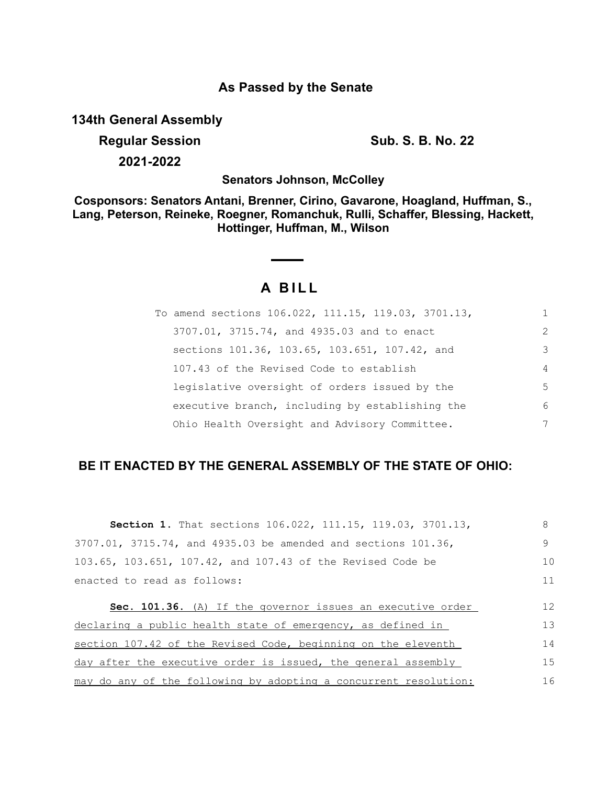### **As Passed by the Senate**

**134th General Assembly**

**Regular Session Sub. S. B. No. 22 2021-2022**

**Senators Johnson, McColley**

**Cosponsors: Senators Antani, Brenner, Cirino, Gavarone, Hoagland, Huffman, S., Lang, Peterson, Reineke, Roegner, Romanchuk, Rulli, Schaffer, Blessing, Hackett, Hottinger, Huffman, M., Wilson**

# **A B I L L**

| To amend sections 106.022, 111.15, 119.03, 3701.13, | 1              |
|-----------------------------------------------------|----------------|
| 3707.01, 3715.74, and 4935.03 and to enact          | $\mathcal{L}$  |
| sections 101.36, 103.65, 103.651, 107.42, and       | 3              |
| 107.43 of the Revised Code to establish             | $\overline{4}$ |
| legislative oversight of orders issued by the       | .5             |
| executive branch, including by establishing the     | 6              |
| Ohio Health Oversight and Advisory Committee.       | 7              |

## **BE IT ENACTED BY THE GENERAL ASSEMBLY OF THE STATE OF OHIO:**

| Section 1. That sections 106.022, 111.15, 119.03, 3701.13,       | 8  |
|------------------------------------------------------------------|----|
| 3707.01, 3715.74, and 4935.03 be amended and sections 101.36,    | 9  |
| 103.65, 103.651, 107.42, and 107.43 of the Revised Code be       | 10 |
| enacted to read as follows:                                      | 11 |
| Sec. 101.36. (A) If the governor issues an executive order       | 12 |
| declaring a public health state of emergency, as defined in      | 13 |
| section 107.42 of the Revised Code, beginning on the eleventh    | 14 |
| day after the executive order is issued, the general assembly    | 15 |
| may do any of the following by adopting a concurrent resolution: | 16 |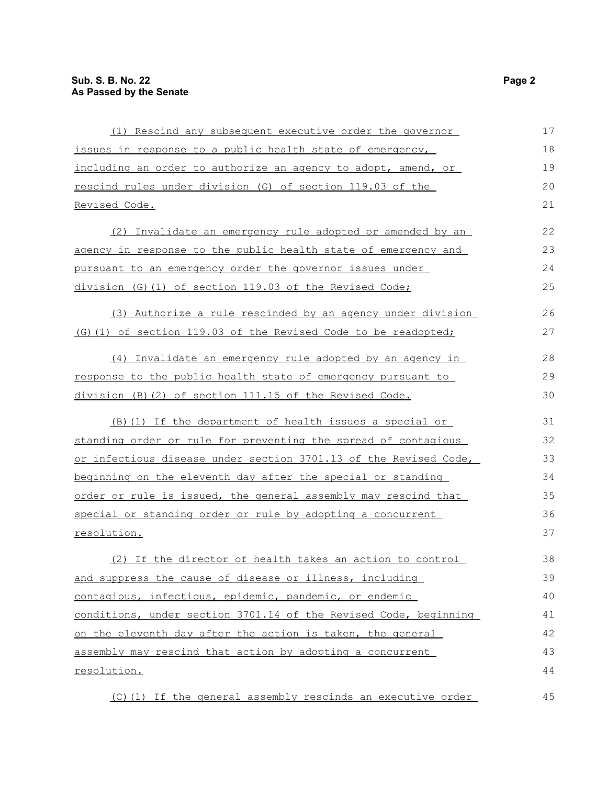| (1) Rescind any subsequent executive order the governor          | 17 |
|------------------------------------------------------------------|----|
| issues in response to a public health state of emergency,        | 18 |
| including an order to authorize an agency to adopt, amend, or    | 19 |
| rescind rules under division (G) of section 119.03 of the        | 20 |
| Revised Code.                                                    | 21 |
| (2) Invalidate an emergency rule adopted or amended by an        | 22 |
| agency in response to the public health state of emergency and   | 23 |
| pursuant to an emergency order the governor issues under         | 24 |
| division (G) (1) of section 119.03 of the Revised Code;          | 25 |
| (3) Authorize a rule rescinded by an agency under division       | 26 |
| (G)(1) of section 119.03 of the Revised Code to be readopted;    | 27 |
| (4) Invalidate an emergency rule adopted by an agency in         | 28 |
| response to the public health state of emergency pursuant to     | 29 |
| division (B) (2) of section 111.15 of the Revised Code.          | 30 |
| (B) (1) If the department of health issues a special or          | 31 |
| standing order or rule for preventing the spread of contagious   | 32 |
| or infectious disease under section 3701.13 of the Revised Code, | 33 |
| beginning on the eleventh day after the special or standing      | 34 |
| order or rule is issued, the general assembly may rescind that   | 35 |
| special or standing order or rule by adopting a concurrent       | 36 |
| resolution.                                                      | 37 |
| (2) If the director of health takes an action to control         | 38 |
| and suppress the cause of disease or illness, including          | 39 |
| contagious, infectious, epidemic, pandemic, or endemic           | 40 |
| conditions, under section 3701.14 of the Revised Code, beginning | 41 |
| on the eleventh day after the action is taken, the general       | 42 |
| assembly may rescind that action by adopting a concurrent        | 43 |
| resolution.                                                      | 44 |
| (C)(1) If the general assembly rescinds an executive order       | 45 |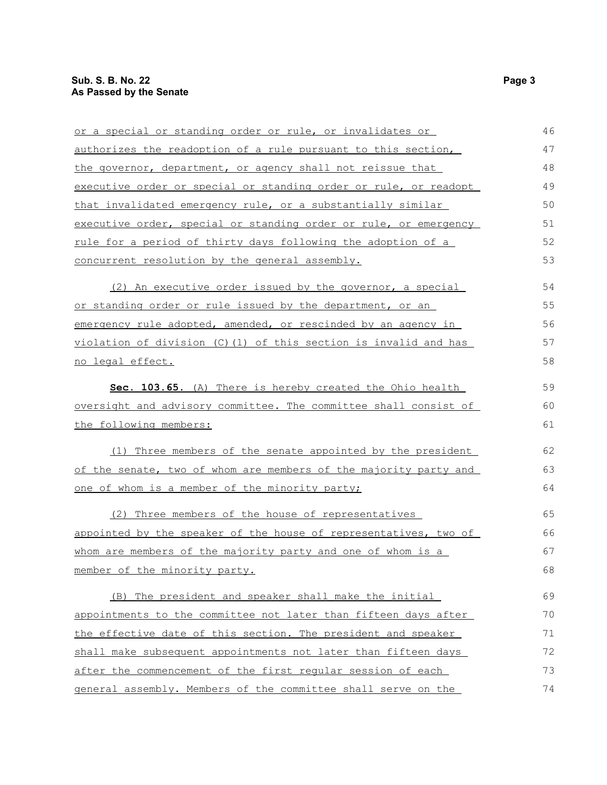or a special or standing order or rule, or invalidates or authorizes the readoption of a rule pursuant to this section, the governor, department, or agency shall not reissue that executive order or special or standing order or rule, or readopt that invalidated emergency rule, or a substantially similar executive order, special or standing order or rule, or emergency rule for a period of thirty days following the adoption of a concurrent resolution by the general assembly. (2) An executive order issued by the governor, a special or standing order or rule issued by the department, or an emergency rule adopted, amended, or rescinded by an agency in violation of division (C)(1) of this section is invalid and has no legal effect. **Sec. 103.65.** (A) There is hereby created the Ohio health oversight and advisory committee. The committee shall consist of the following members: (1) Three members of the senate appointed by the president of the senate, two of whom are members of the majority party and one of whom is a member of the minority party; (2) Three members of the house of representatives appointed by the speaker of the house of representatives, two of whom are members of the majority party and one of whom is a member of the minority party. (B) The president and speaker shall make the initial appointments to the committee not later than fifteen days after the effective date of this section. The president and speaker shall make subsequent appointments not later than fifteen days after the commencement of the first regular session of each general assembly. Members of the committee shall serve on the 46 47 48 49 50 51 52 53 54 55 56 57 58 59 60 61 62 63 64 65 66 67 68 69 70 71 72 73 74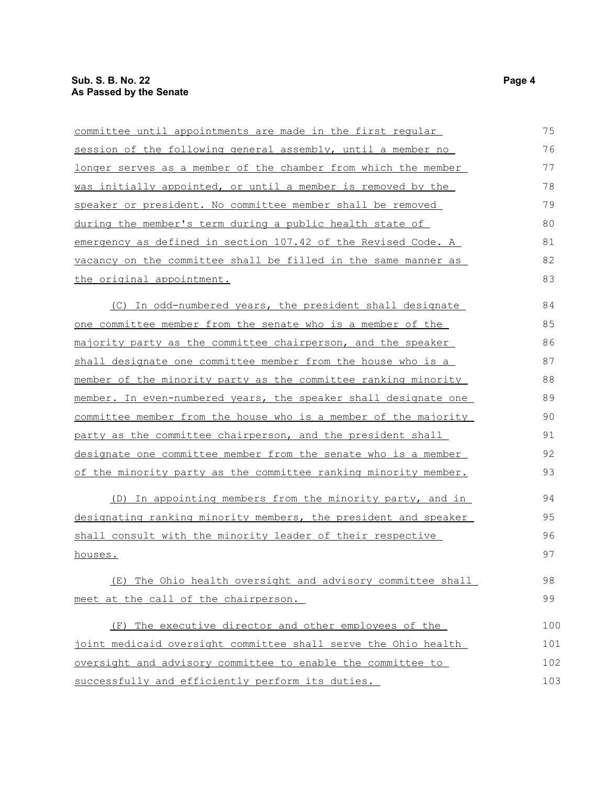| committee until appointments are made in the first regular      | 75  |
|-----------------------------------------------------------------|-----|
| session of the following general assembly, until a member no    | 76  |
| longer serves as a member of the chamber from which the member  | 77  |
| was initially appointed, or until a member is removed by the    | 78  |
| speaker or president. No committee member shall be removed      | 79  |
| during the member's term during a public health state of        | 80  |
| emergency as defined in section 107.42 of the Revised Code. A   | 81  |
| vacancy on the committee shall be filled in the same manner as  | 82  |
| the original appointment.                                       | 83  |
| (C) In odd-numbered years, the president shall designate        | 84  |
| one committee member from the senate who is a member of the     | 85  |
| majority party as the committee chairperson, and the speaker    | 86  |
| shall designate one committee member from the house who is a    | 87  |
| member of the minority party as the committee ranking minority  | 88  |
| member. In even-numbered years, the speaker shall designate one | 89  |
| committee member from the house who is a member of the majority | 90  |
| party as the committee chairperson, and the president shall     | 91  |
| designate one committee member from the senate who is a member  | 92  |
| of the minority party as the committee ranking minority member. | 93  |
| (D) In appointing members from the minority party, and in       | 94  |
| designating ranking minority members, the president and speaker | 95  |
| shall consult with the minority leader of their respective      | 96  |
| houses.                                                         | 97  |
| (E) The Ohio health oversight and advisory committee shall      | 98  |
| meet at the call of the chairperson.                            | 99  |
| (F) The executive director and other employees of the           | 100 |
| joint medicaid oversight committee shall serve the Ohio health  | 101 |
| oversight and advisory committee to enable the committee to     | 102 |
| successfully and efficiently perform its duties.                | 103 |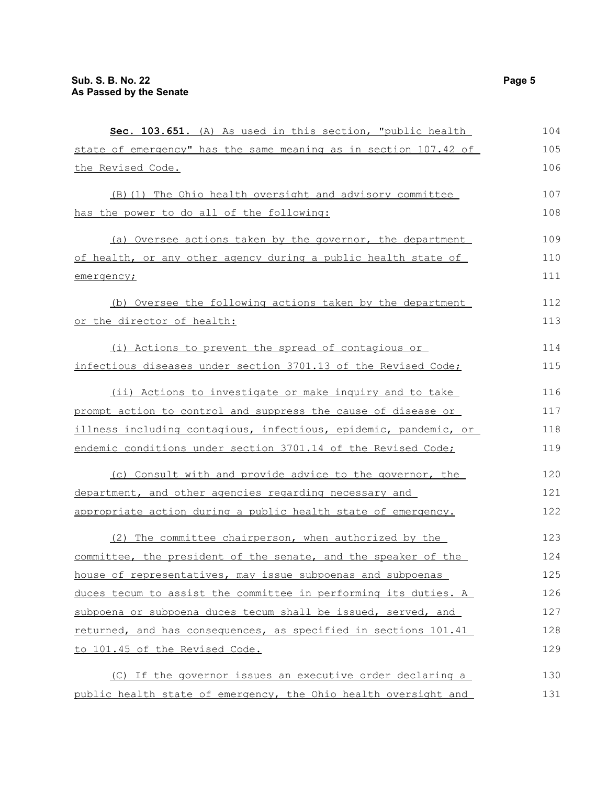| Sec. 103.651. (A) As used in this section, "public health        | 104 |
|------------------------------------------------------------------|-----|
| state of emergency" has the same meaning as in section 107.42 of | 105 |
| the Revised Code.                                                | 106 |
| (B) (1) The Ohio health oversight and advisory committee         | 107 |
| has the power to do all of the following:                        | 108 |
| (a) Oversee actions taken by the governor, the department        | 109 |
| of health, or any other agency during a public health state of   | 110 |
| emergency;                                                       | 111 |
| (b) Oversee the following actions taken by the department        | 112 |
| or the director of health:                                       | 113 |
| (i) Actions to prevent the spread of contagious or               | 114 |
| infectious diseases under section 3701.13 of the Revised Code;   | 115 |
| (ii) Actions to investigate or make inquiry and to take          | 116 |
| prompt action to control and suppress the cause of disease or    | 117 |
| illness including contagious, infectious, epidemic, pandemic, or | 118 |
| endemic conditions under section 3701.14 of the Revised Code;    | 119 |
| (c) Consult with and provide advice to the governor, the         | 120 |
| department, and other agencies regarding necessary and           | 121 |
| appropriate action during a public health state of emergency.    | 122 |
| (2) The committee chairperson, when authorized by the            | 123 |
| committee, the president of the senate, and the speaker of the   | 124 |
| house of representatives, may issue subpoenas and subpoenas      | 125 |
| duces tecum to assist the committee in performing its duties. A  | 126 |
| subpoena or subpoena duces tecum shall be issued, served, and    | 127 |
| returned, and has consequences, as specified in sections 101.41  | 128 |
| to 101.45 of the Revised Code.                                   | 129 |
| (C) If the governor issues an executive order declaring a        | 130 |
| public health state of emergency, the Ohio health oversight and  | 131 |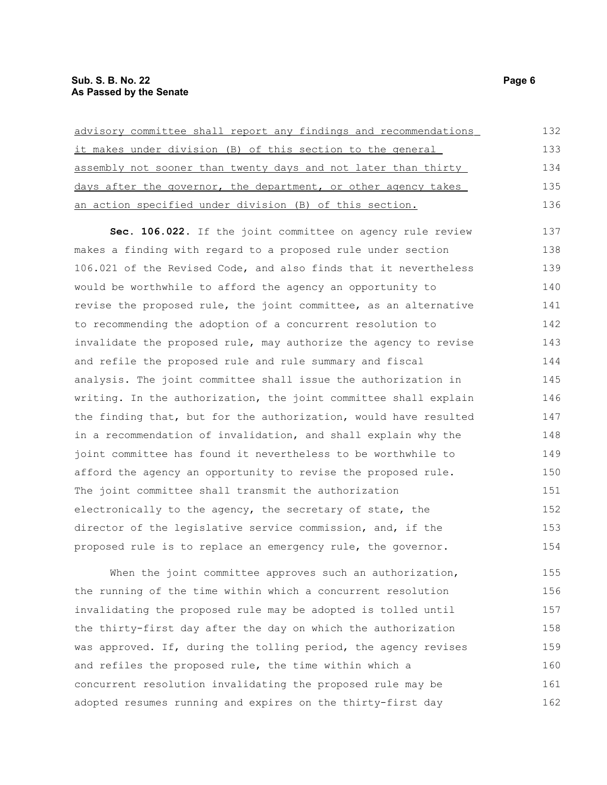| advisory committee shall report any findings and recommendations | 132 |
|------------------------------------------------------------------|-----|
| it makes under division (B) of this section to the general       | 133 |
| assembly not sooner than twenty days and not later than thirty   | 134 |
| days after the governor, the department, or other agency takes   | 135 |
| an action specified under division (B) of this section.          | 136 |
| Sec. 106.022. If the joint committee on agency rule review       | 137 |
| makes a finding with regard to a proposed rule under section     | 138 |
| 106.021 of the Revised Code, and also finds that it nevertheless | 139 |
| would be worthwhile to afford the agency an opportunity to       | 140 |
| revise the proposed rule, the joint committee, as an alternative | 141 |
| to recommending the adoption of a concurrent resolution to       | 142 |
| invalidate the proposed rule, may authorize the agency to revise | 143 |
| and refile the proposed rule and rule summary and fiscal         | 144 |
| analysis. The joint committee shall issue the authorization in   | 145 |
| writing. In the authorization, the joint committee shall explain | 146 |
| the finding that, but for the authorization, would have resulted | 147 |
| in a recommendation of invalidation, and shall explain why the   | 148 |
| joint committee has found it nevertheless to be worthwhile to    | 149 |
| afford the agency an opportunity to revise the proposed rule.    | 150 |
| The joint committee shall transmit the authorization             | 151 |
| electronically to the agency, the secretary of state, the        | 152 |
| director of the legislative service commission, and, if the      | 153 |
| proposed rule is to replace an emergency rule, the governor.     | 154 |

When the joint committee approves such an authorization, the running of the time within which a concurrent resolution invalidating the proposed rule may be adopted is tolled until the thirty-first day after the day on which the authorization was approved. If, during the tolling period, the agency revises and refiles the proposed rule, the time within which a concurrent resolution invalidating the proposed rule may be adopted resumes running and expires on the thirty-first day 155 156 157 158 159 160 161 162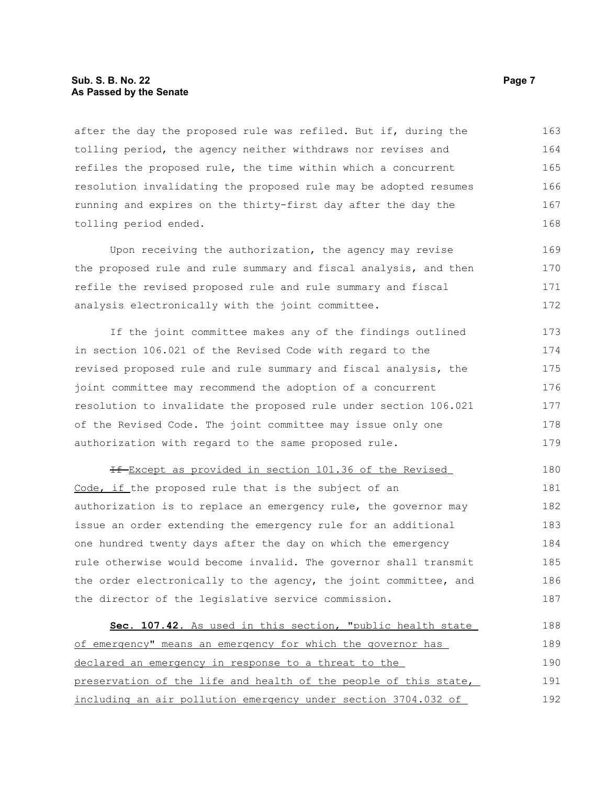#### **Sub. S. B. No. 22 Page 7 As Passed by the Senate**

after the day the proposed rule was refiled. But if, during the tolling period, the agency neither withdraws nor revises and refiles the proposed rule, the time within which a concurrent resolution invalidating the proposed rule may be adopted resumes running and expires on the thirty-first day after the day the tolling period ended. 163 164 165 166 167 168

Upon receiving the authorization, the agency may revise the proposed rule and rule summary and fiscal analysis, and then refile the revised proposed rule and rule summary and fiscal analysis electronically with the joint committee. 169 170 171 172

If the joint committee makes any of the findings outlined in section 106.021 of the Revised Code with regard to the revised proposed rule and rule summary and fiscal analysis, the joint committee may recommend the adoption of a concurrent resolution to invalidate the proposed rule under section 106.021 of the Revised Code. The joint committee may issue only one authorization with regard to the same proposed rule. 173 174 175 176 177 178 179

If Except as provided in section 101.36 of the Revised Code, if the proposed rule that is the subject of an authorization is to replace an emergency rule, the governor may issue an order extending the emergency rule for an additional one hundred twenty days after the day on which the emergency rule otherwise would become invalid. The governor shall transmit the order electronically to the agency, the joint committee, and the director of the legislative service commission. 180 181 182 183 184 185 186 187

 **Sec. 107.42.** As used in this section, "public health state of emergency" means an emergency for which the governor has declared an emergency in response to a threat to the preservation of the life and health of the people of this state, including an air pollution emergency under section 3704.032 of 188 189 190 191 192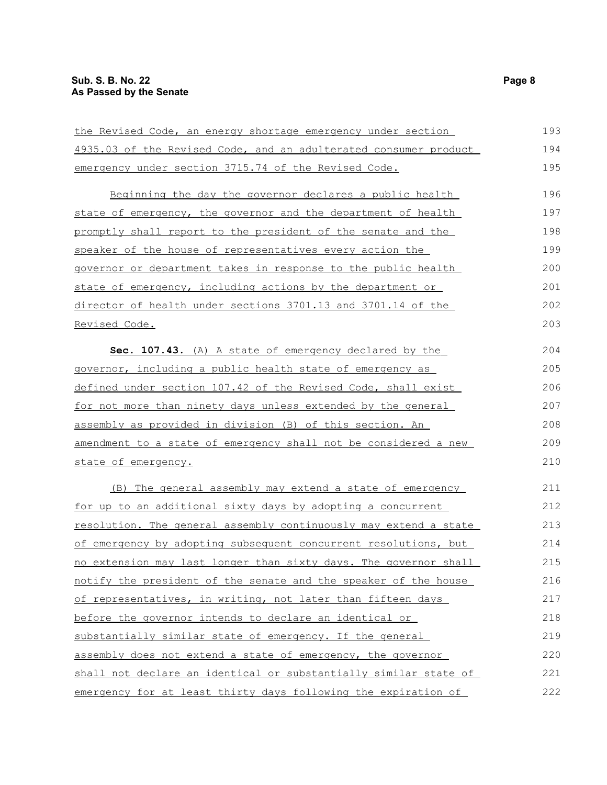### **Sub. S. B. No. 22** Page 8 **As Passed by the Senate**

| the Revised Code, an energy shortage emergency under section         | 193 |
|----------------------------------------------------------------------|-----|
| 4935.03 of the Revised Code, and an adulterated consumer product     | 194 |
| emergency under section 3715.74 of the Revised Code.                 | 195 |
| Beginning the day the governor declares a public health              | 196 |
| state of emergency, the governor and the department of health        | 197 |
| promptly shall report to the president of the senate and the         | 198 |
| speaker of the house of representatives every action the             | 199 |
| governor or department takes in response to the public health        | 200 |
| state of emergency, including actions by the department or           | 201 |
| director of health under sections 3701.13 and 3701.14 of the         | 202 |
| Revised Code.                                                        | 203 |
| Sec. 107.43. (A) A state of emergency declared by the                | 204 |
| governor, including a public health state of emergency as            | 205 |
| <u>defined under section 107.42 of the Revised Code, shall exist</u> | 206 |
| for not more than ninety days unless extended by the general         | 207 |
| assembly as provided in division (B) of this section. An             | 208 |
| amendment to a state of emergency shall not be considered a new      | 209 |
| state of emergency.                                                  | 210 |
| (B) The general assembly may extend a state of emergency             | 211 |
| <u>for up to an additional sixty days by adopting a concurrent</u>   | 212 |
| resolution. The general assembly continuously may extend a state     | 213 |
| of emergency by adopting subsequent concurrent resolutions, but      | 214 |
| no extension may last longer than sixty days. The governor shall     | 215 |
| notify the president of the senate and the speaker of the house      | 216 |
| of representatives, in writing, not later than fifteen days          | 217 |
| before the governor intends to declare an identical or               | 218 |
| substantially similar state of emergency. If the general             | 219 |
| assembly does not extend a state of emergency, the governor          | 220 |
| shall not declare an identical or substantially similar state of     | 221 |
| emergency for at least thirty days following the expiration of       | 222 |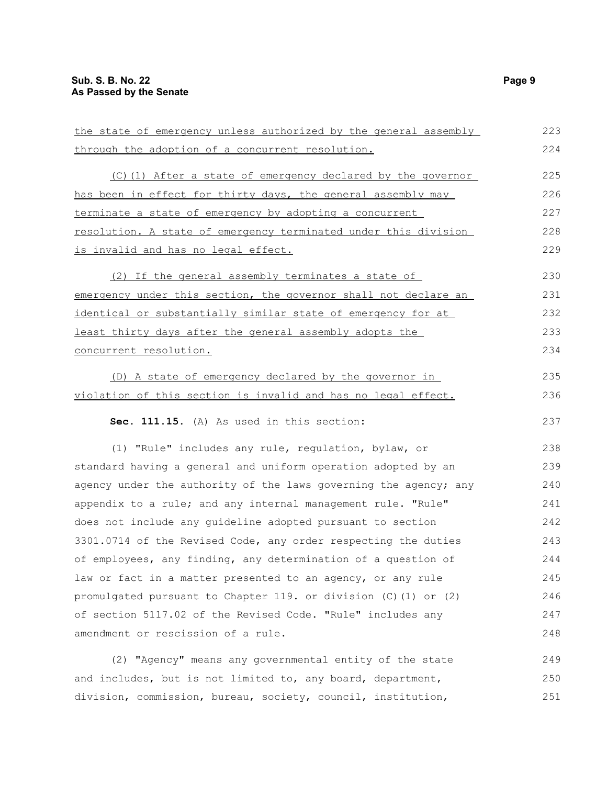| the state of emergency unless authorized by the general assembly     | 223 |
|----------------------------------------------------------------------|-----|
| through the adoption of a concurrent resolution.                     | 224 |
| (C)(1) After a state of emergency declared by the governor           | 225 |
| has been in effect for thirty days, the general assembly may         | 226 |
| terminate a state of emergency by adopting a concurrent              | 227 |
| resolution. A state of emergency terminated under this division      | 228 |
| is invalid and has no legal effect.                                  | 229 |
| (2) If the general assembly terminates a state of                    | 230 |
| emergency under this section, the governor shall not declare an      | 231 |
| identical or substantially similar state of emergency for at         | 232 |
| least thirty days after the general assembly adopts the              | 233 |
| concurrent resolution.                                               | 234 |
| (D) A state of emergency declared by the governor in                 | 235 |
| <u>violation of this section is invalid and has no legal effect.</u> | 236 |
| Sec. 111.15. (A) As used in this section:                            | 237 |
| (1) "Rule" includes any rule, regulation, bylaw, or                  | 238 |
| standard having a general and uniform operation adopted by an        | 239 |
| agency under the authority of the laws governing the agency; any     | 240 |
| appendix to a rule; and any internal management rule. "Rule"         | 241 |
| does not include any guideline adopted pursuant to section           | 242 |
| 3301.0714 of the Revised Code, any order respecting the duties       | 243 |
| of employees, any finding, any determination of a question of        | 244 |
| law or fact in a matter presented to an agency, or any rule          | 245 |
| promulgated pursuant to Chapter 119. or division (C)(1) or (2)       | 246 |
| of section 5117.02 of the Revised Code. "Rule" includes any          | 247 |
| amendment or rescission of a rule.                                   | 248 |
| (2) "Agency" means any governmental entity of the state              | 249 |
| and includes, but is not limited to, any board, department,          | 250 |
| division, commission, bureau, society, council, institution,         | 251 |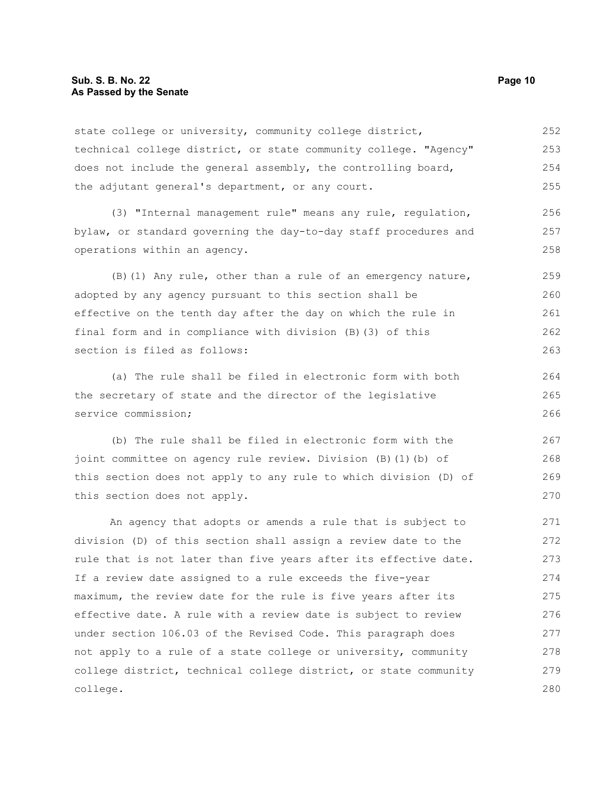state college or university, community college district, technical college district, or state community college. "Agency" does not include the general assembly, the controlling board, the adjutant general's department, or any court. 252 253 254 255

(3) "Internal management rule" means any rule, regulation, bylaw, or standard governing the day-to-day staff procedures and operations within an agency. 256 257 258

(B)(1) Any rule, other than a rule of an emergency nature, adopted by any agency pursuant to this section shall be effective on the tenth day after the day on which the rule in final form and in compliance with division (B)(3) of this section is filed as follows: 259 260 261 262 263

(a) The rule shall be filed in electronic form with both the secretary of state and the director of the legislative service commission;

(b) The rule shall be filed in electronic form with the joint committee on agency rule review. Division (B)(1)(b) of this section does not apply to any rule to which division (D) of this section does not apply.

An agency that adopts or amends a rule that is subject to division (D) of this section shall assign a review date to the rule that is not later than five years after its effective date. If a review date assigned to a rule exceeds the five-year maximum, the review date for the rule is five years after its effective date. A rule with a review date is subject to review under section 106.03 of the Revised Code. This paragraph does not apply to a rule of a state college or university, community college district, technical college district, or state community college. 271 272 273 274 275 276 277 278 279 280

264 265 266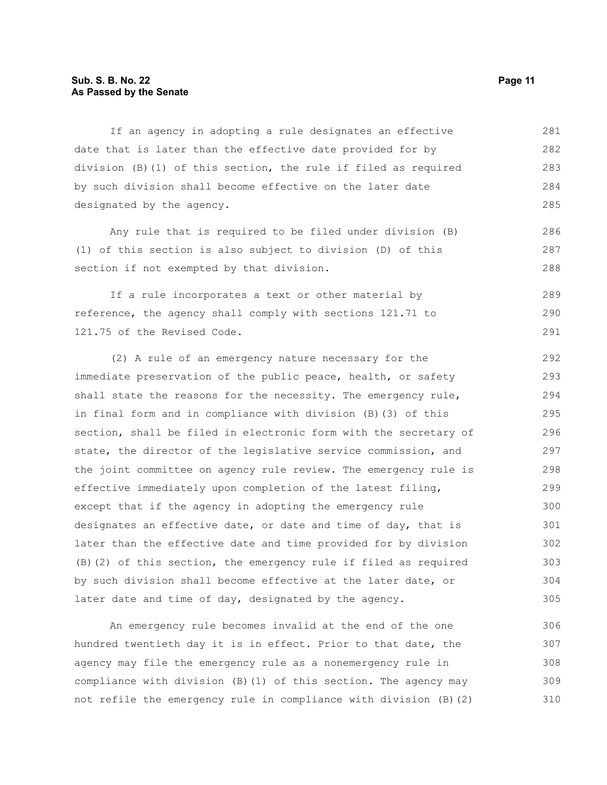#### **Sub. S. B. No. 22 Page 11 As Passed by the Senate**

If an agency in adopting a rule designates an effective date that is later than the effective date provided for by division (B)(1) of this section, the rule if filed as required by such division shall become effective on the later date designated by the agency. 281 282 283 284 285

Any rule that is required to be filed under division (B) (1) of this section is also subject to division (D) of this section if not exempted by that division.

If a rule incorporates a text or other material by reference, the agency shall comply with sections 121.71 to 121.75 of the Revised Code.

(2) A rule of an emergency nature necessary for the immediate preservation of the public peace, health, or safety shall state the reasons for the necessity. The emergency rule, in final form and in compliance with division (B)(3) of this section, shall be filed in electronic form with the secretary of state, the director of the legislative service commission, and the joint committee on agency rule review. The emergency rule is effective immediately upon completion of the latest filing, except that if the agency in adopting the emergency rule designates an effective date, or date and time of day, that is later than the effective date and time provided for by division (B)(2) of this section, the emergency rule if filed as required by such division shall become effective at the later date, or later date and time of day, designated by the agency. 292 293 294 295 296 297 298 299 300 301 302 303 304 305

An emergency rule becomes invalid at the end of the one hundred twentieth day it is in effect. Prior to that date, the agency may file the emergency rule as a nonemergency rule in compliance with division (B)(1) of this section. The agency may not refile the emergency rule in compliance with division (B)(2) 306 307 308 309 310

286 287 288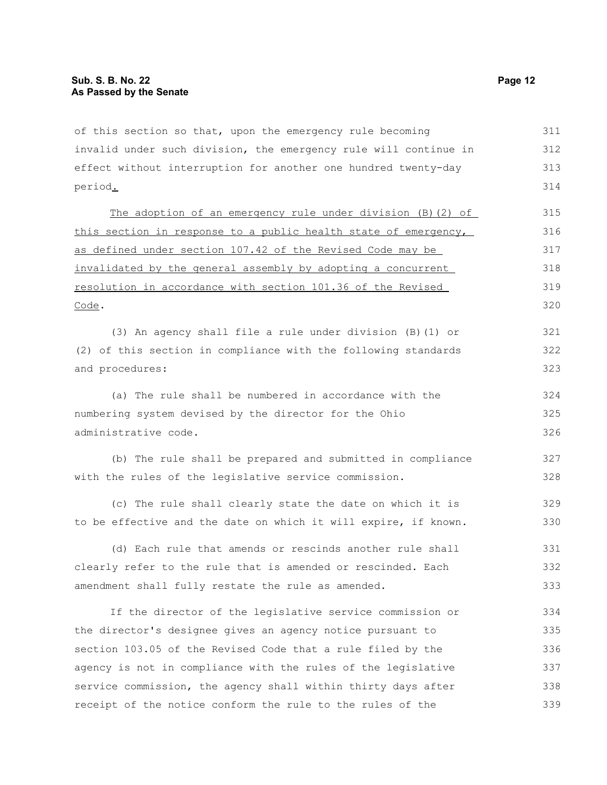of this section so that, upon the emergency rule becoming invalid under such division, the emergency rule will continue in effect without interruption for another one hundred twenty-day period. 311 312 313 314

The adoption of an emergency rule under division (B)(2) of this section in response to a public health state of emergency, as defined under section 107.42 of the Revised Code may be invalidated by the general assembly by adopting a concurrent resolution in accordance with section 101.36 of the Revised Code. 315 316 317 318 319 320

(3) An agency shall file a rule under division (B)(1) or (2) of this section in compliance with the following standards and procedures: 321 322 323

(a) The rule shall be numbered in accordance with the numbering system devised by the director for the Ohio administrative code. 324 325 326

(b) The rule shall be prepared and submitted in compliance with the rules of the legislative service commission. 327 328

(c) The rule shall clearly state the date on which it is to be effective and the date on which it will expire, if known. 329 330

(d) Each rule that amends or rescinds another rule shall clearly refer to the rule that is amended or rescinded. Each amendment shall fully restate the rule as amended. 331 332 333

If the director of the legislative service commission or the director's designee gives an agency notice pursuant to section 103.05 of the Revised Code that a rule filed by the agency is not in compliance with the rules of the legislative service commission, the agency shall within thirty days after receipt of the notice conform the rule to the rules of the 334 335 336 337 338 339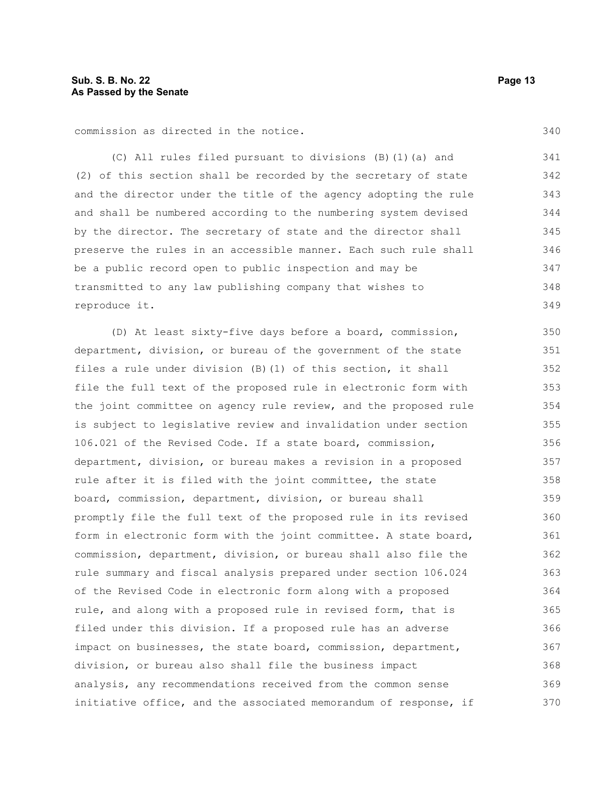commission as directed in the notice.

(C) All rules filed pursuant to divisions (B)(1)(a) and (2) of this section shall be recorded by the secretary of state and the director under the title of the agency adopting the rule and shall be numbered according to the numbering system devised by the director. The secretary of state and the director shall preserve the rules in an accessible manner. Each such rule shall be a public record open to public inspection and may be transmitted to any law publishing company that wishes to reproduce it. 341 342 343 344 345 346 347 348 349

(D) At least sixty-five days before a board, commission, department, division, or bureau of the government of the state files a rule under division (B)(1) of this section, it shall file the full text of the proposed rule in electronic form with the joint committee on agency rule review, and the proposed rule is subject to legislative review and invalidation under section 106.021 of the Revised Code. If a state board, commission, department, division, or bureau makes a revision in a proposed rule after it is filed with the joint committee, the state board, commission, department, division, or bureau shall promptly file the full text of the proposed rule in its revised form in electronic form with the joint committee. A state board, commission, department, division, or bureau shall also file the rule summary and fiscal analysis prepared under section 106.024 of the Revised Code in electronic form along with a proposed rule, and along with a proposed rule in revised form, that is filed under this division. If a proposed rule has an adverse impact on businesses, the state board, commission, department, division, or bureau also shall file the business impact analysis, any recommendations received from the common sense initiative office, and the associated memorandum of response, if 350 351 352 353 354 355 356 357 358 359 360 361 362 363 364 365 366 367 368 369 370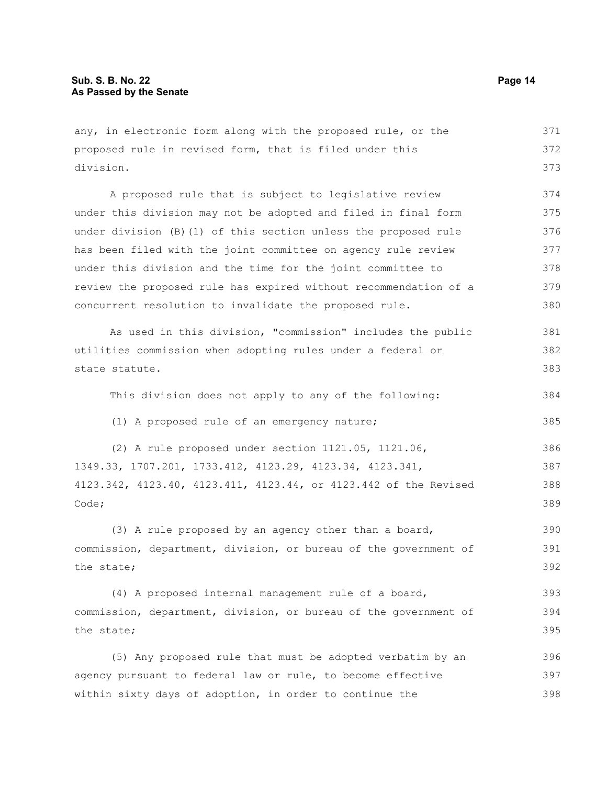any, in electronic form along with the proposed rule, or the proposed rule in revised form, that is filed under this division. A proposed rule that is subject to legislative review under this division may not be adopted and filed in final form under division (B)(1) of this section unless the proposed rule has been filed with the joint committee on agency rule review under this division and the time for the joint committee to review the proposed rule has expired without recommendation of a concurrent resolution to invalidate the proposed rule. As used in this division, "commission" includes the public utilities commission when adopting rules under a federal or state statute. This division does not apply to any of the following: (1) A proposed rule of an emergency nature; (2) A rule proposed under section 1121.05, 1121.06, 1349.33, 1707.201, 1733.412, 4123.29, 4123.34, 4123.341, 4123.342, 4123.40, 4123.411, 4123.44, or 4123.442 of the Revised Code; (3) A rule proposed by an agency other than a board, commission, department, division, or bureau of the government of the state; (4) A proposed internal management rule of a board, commission, department, division, or bureau of the government of the state; (5) Any proposed rule that must be adopted verbatim by an agency pursuant to federal law or rule, to become effective within sixty days of adoption, in order to continue the 371 372 373 374 375 376 377 378 379 380 381 382 383 384 385 386 387 388 389 390 391 392 393 394 395 396 397 398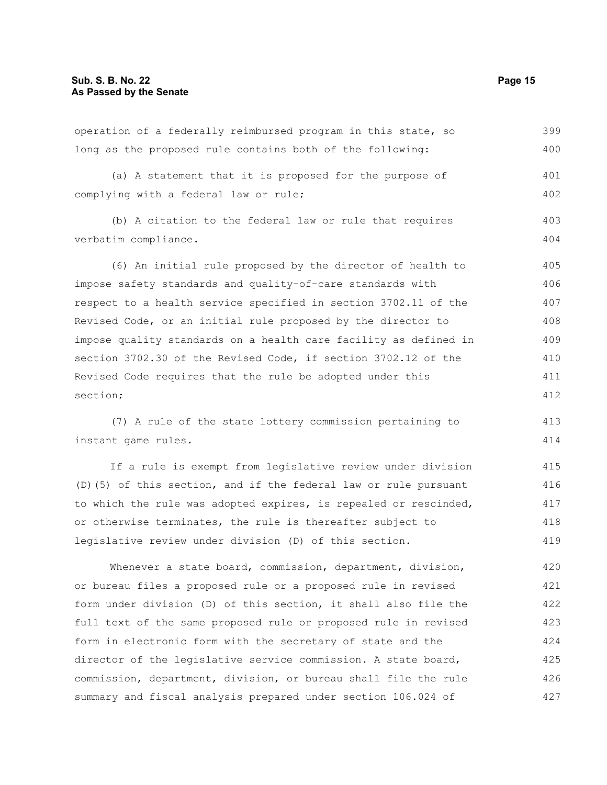| operation of a federally reimbursed program in this state, so    | 399 |
|------------------------------------------------------------------|-----|
| long as the proposed rule contains both of the following:        | 400 |
| (a) A statement that it is proposed for the purpose of           | 401 |
| complying with a federal law or rule;                            | 402 |
| (b) A citation to the federal law or rule that requires          | 403 |
| verbatim compliance.                                             | 404 |
| (6) An initial rule proposed by the director of health to        | 405 |
| impose safety standards and quality-of-care standards with       | 406 |
| respect to a health service specified in section 3702.11 of the  | 407 |
| Revised Code, or an initial rule proposed by the director to     | 408 |
| impose quality standards on a health care facility as defined in | 409 |
| section 3702.30 of the Revised Code, if section 3702.12 of the   | 410 |
| Revised Code requires that the rule be adopted under this        | 411 |
| section;                                                         | 412 |
| (7) A rule of the state lottery commission pertaining to         | 413 |
| instant game rules.                                              | 414 |
| If a rule is exempt from legislative review under division       | 415 |
| (D) (5) of this section, and if the federal law or rule pursuant | 416 |
| to which the rule was adopted expires, is repealed or rescinded, | 417 |
| or otherwise terminates, the rule is thereafter subject to       | 418 |
| legislative review under division (D) of this section.           | 419 |
| Whenever a state board, commission, department, division,        | 420 |
| or bureau files a proposed rule or a proposed rule in revised    | 421 |
| form under division (D) of this section, it shall also file the  | 422 |
| full text of the same proposed rule or proposed rule in revised  | 423 |
| form in electronic form with the secretary of state and the      | 424 |
| director of the legislative service commission. A state board,   | 425 |

commission, department, division, or bureau shall file the rule

summary and fiscal analysis prepared under section 106.024 of

operation of a federally reimbursed program in this state, so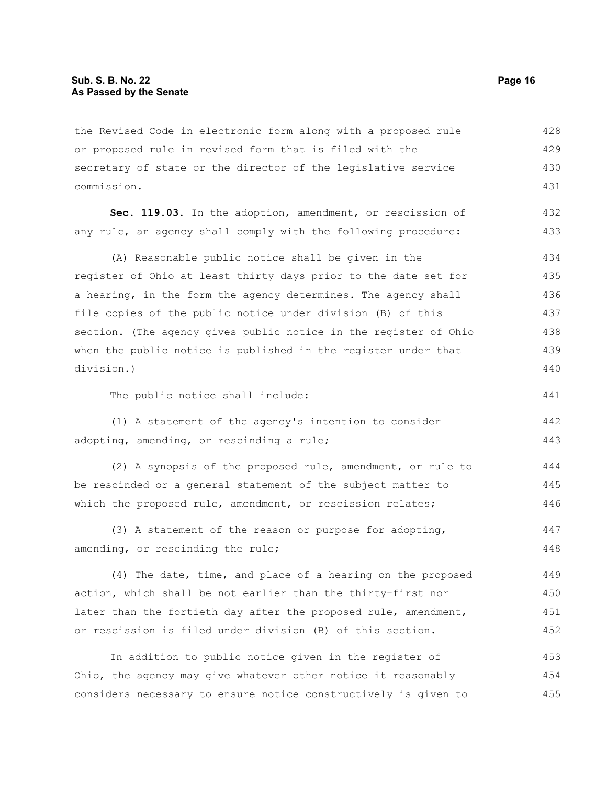the Revised Code in electronic form along with a proposed rule or proposed rule in revised form that is filed with the secretary of state or the director of the legislative service commission. 428 429 430 431

**Sec. 119.03.** In the adoption, amendment, or rescission of any rule, an agency shall comply with the following procedure: 432 433

(A) Reasonable public notice shall be given in the register of Ohio at least thirty days prior to the date set for a hearing, in the form the agency determines. The agency shall file copies of the public notice under division (B) of this section. (The agency gives public notice in the register of Ohio when the public notice is published in the register under that division.) 434 435 436 437 438 439 440

The public notice shall include:

(1) A statement of the agency's intention to consider adopting, amending, or rescinding a rule; 442 443

(2) A synopsis of the proposed rule, amendment, or rule to be rescinded or a general statement of the subject matter to which the proposed rule, amendment, or rescission relates; 444 445 446

(3) A statement of the reason or purpose for adopting, amending, or rescinding the rule; 447 448

(4) The date, time, and place of a hearing on the proposed action, which shall be not earlier than the thirty-first nor later than the fortieth day after the proposed rule, amendment, or rescission is filed under division (B) of this section. 449 450 451 452

In addition to public notice given in the register of Ohio, the agency may give whatever other notice it reasonably considers necessary to ensure notice constructively is given to 453 454 455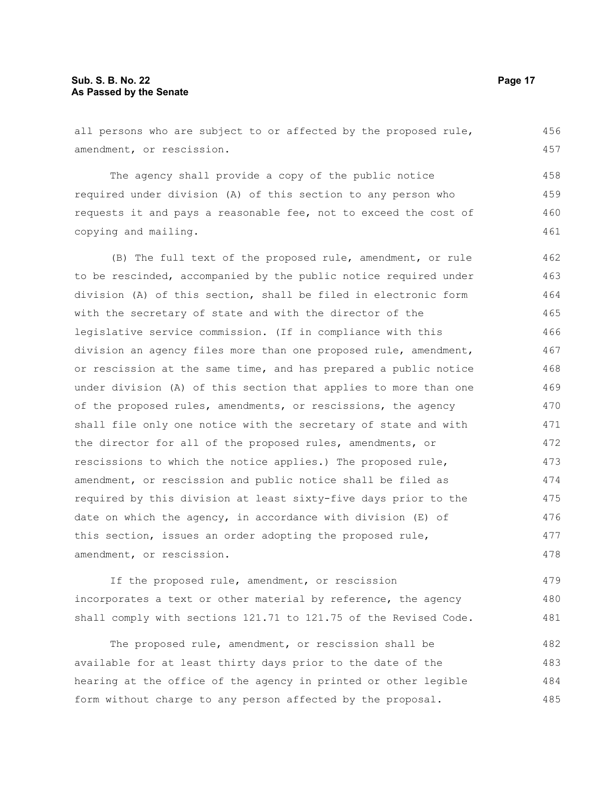all persons who are subject to or affected by the proposed rule, amendment, or rescission. The agency shall provide a copy of the public notice required under division (A) of this section to any person who requests it and pays a reasonable fee, not to exceed the cost of copying and mailing. (B) The full text of the proposed rule, amendment, or rule to be rescinded, accompanied by the public notice required under division (A) of this section, shall be filed in electronic form with the secretary of state and with the director of the legislative service commission. (If in compliance with this division an agency files more than one proposed rule, amendment, or rescission at the same time, and has prepared a public notice under division (A) of this section that applies to more than one of the proposed rules, amendments, or rescissions, the agency 456 457 458 459 460 461 462 463 464 465 466 467 468 469 470

shall file only one notice with the secretary of state and with the director for all of the proposed rules, amendments, or rescissions to which the notice applies.) The proposed rule, amendment, or rescission and public notice shall be filed as required by this division at least sixty-five days prior to the date on which the agency, in accordance with division (E) of this section, issues an order adopting the proposed rule, amendment, or rescission. 471 472 473 474 475 476 477 478

If the proposed rule, amendment, or rescission incorporates a text or other material by reference, the agency shall comply with sections 121.71 to 121.75 of the Revised Code. 479 480 481

The proposed rule, amendment, or rescission shall be available for at least thirty days prior to the date of the hearing at the office of the agency in printed or other legible form without charge to any person affected by the proposal. 482 483 484 485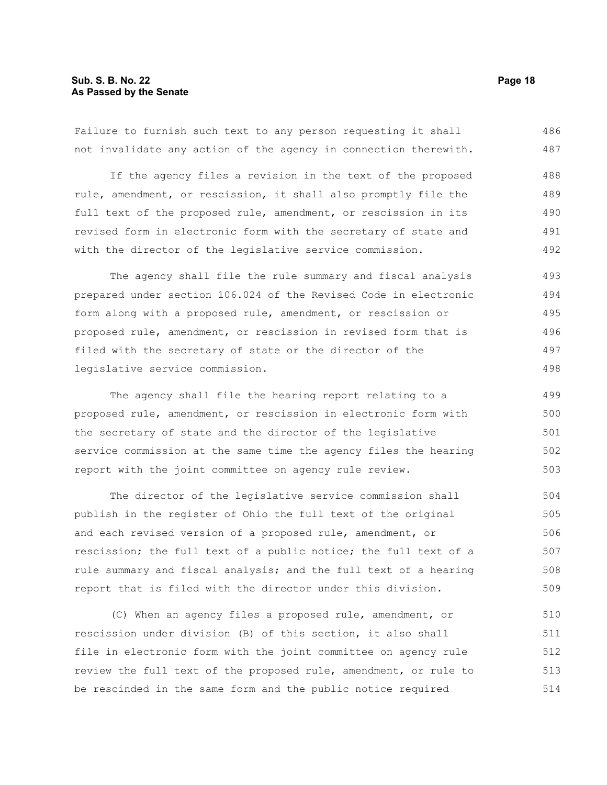#### **Sub. S. B. No. 22 Page 18 As Passed by the Senate**

Failure to furnish such text to any person requesting it shall not invalidate any action of the agency in connection therewith. 486 487

If the agency files a revision in the text of the proposed rule, amendment, or rescission, it shall also promptly file the full text of the proposed rule, amendment, or rescission in its revised form in electronic form with the secretary of state and with the director of the legislative service commission. 488 489 490 491 492

The agency shall file the rule summary and fiscal analysis prepared under section 106.024 of the Revised Code in electronic form along with a proposed rule, amendment, or rescission or proposed rule, amendment, or rescission in revised form that is filed with the secretary of state or the director of the legislative service commission. 493 494 495 496 497 498

The agency shall file the hearing report relating to a proposed rule, amendment, or rescission in electronic form with the secretary of state and the director of the legislative service commission at the same time the agency files the hearing report with the joint committee on agency rule review. 499 500 501 502 503

The director of the legislative service commission shall publish in the register of Ohio the full text of the original and each revised version of a proposed rule, amendment, or rescission; the full text of a public notice; the full text of a rule summary and fiscal analysis; and the full text of a hearing report that is filed with the director under this division. 504 505 506 507 508 509

(C) When an agency files a proposed rule, amendment, or rescission under division (B) of this section, it also shall file in electronic form with the joint committee on agency rule review the full text of the proposed rule, amendment, or rule to be rescinded in the same form and the public notice required 510 511 512 513 514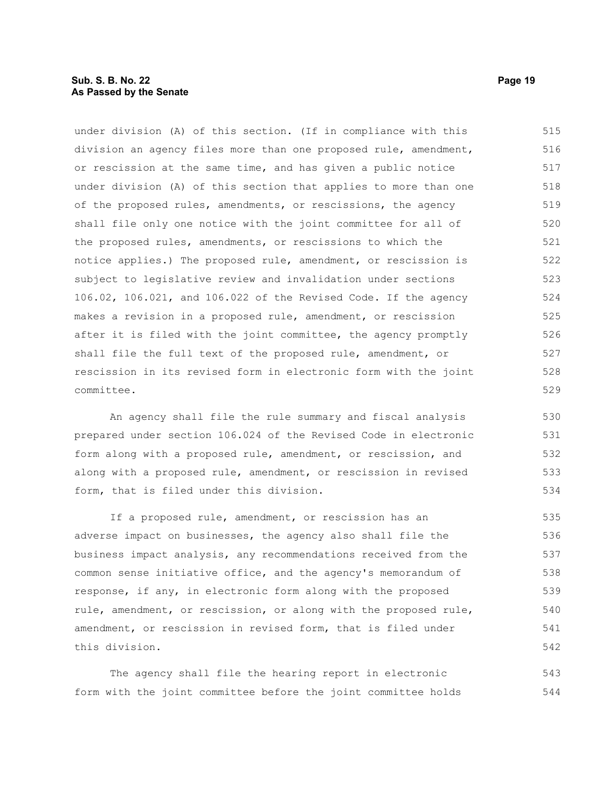#### **Sub. S. B. No. 22 Page 19 As Passed by the Senate**

under division (A) of this section. (If in compliance with this division an agency files more than one proposed rule, amendment, or rescission at the same time, and has given a public notice under division (A) of this section that applies to more than one of the proposed rules, amendments, or rescissions, the agency shall file only one notice with the joint committee for all of the proposed rules, amendments, or rescissions to which the notice applies.) The proposed rule, amendment, or rescission is subject to legislative review and invalidation under sections 106.02, 106.021, and 106.022 of the Revised Code. If the agency makes a revision in a proposed rule, amendment, or rescission after it is filed with the joint committee, the agency promptly shall file the full text of the proposed rule, amendment, or rescission in its revised form in electronic form with the joint committee. 515 516 517 518 519 520 521 522 523 524 525 526 527 528 529

An agency shall file the rule summary and fiscal analysis prepared under section 106.024 of the Revised Code in electronic form along with a proposed rule, amendment, or rescission, and along with a proposed rule, amendment, or rescission in revised form, that is filed under this division.

If a proposed rule, amendment, or rescission has an adverse impact on businesses, the agency also shall file the business impact analysis, any recommendations received from the common sense initiative office, and the agency's memorandum of response, if any, in electronic form along with the proposed rule, amendment, or rescission, or along with the proposed rule, amendment, or rescission in revised form, that is filed under this division. 535 536 537 538 539 540 541 542

The agency shall file the hearing report in electronic form with the joint committee before the joint committee holds 543 544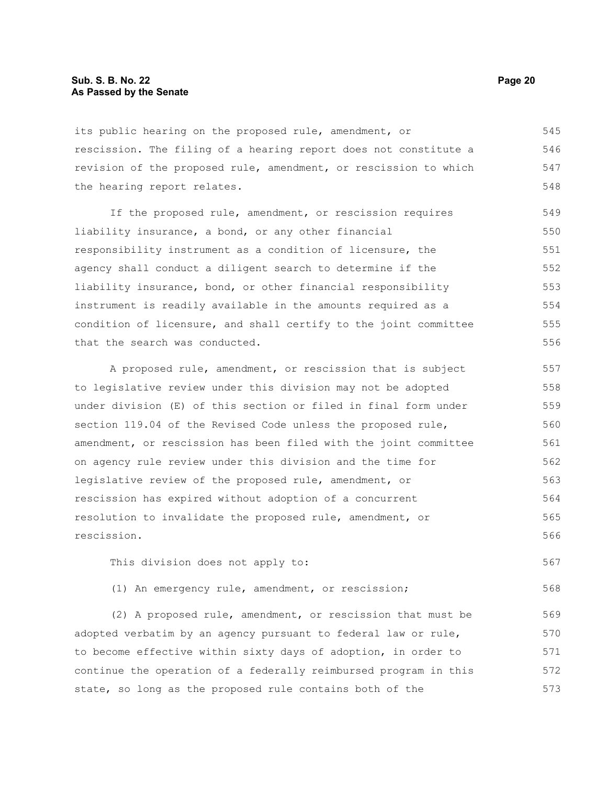its public hearing on the proposed rule, amendment, or rescission. The filing of a hearing report does not constitute a revision of the proposed rule, amendment, or rescission to which the hearing report relates. 545 546 547 548

If the proposed rule, amendment, or rescission requires liability insurance, a bond, or any other financial responsibility instrument as a condition of licensure, the agency shall conduct a diligent search to determine if the liability insurance, bond, or other financial responsibility instrument is readily available in the amounts required as a condition of licensure, and shall certify to the joint committee that the search was conducted. 549 550 551 552 553 554 555 556

A proposed rule, amendment, or rescission that is subject to legislative review under this division may not be adopted under division (E) of this section or filed in final form under section 119.04 of the Revised Code unless the proposed rule, amendment, or rescission has been filed with the joint committee on agency rule review under this division and the time for legislative review of the proposed rule, amendment, or rescission has expired without adoption of a concurrent resolution to invalidate the proposed rule, amendment, or rescission. 557 558 559 560 561 562 563 564 565 566

This division does not apply to: 567

(1) An emergency rule, amendment, or rescission;

(2) A proposed rule, amendment, or rescission that must be adopted verbatim by an agency pursuant to federal law or rule, to become effective within sixty days of adoption, in order to continue the operation of a federally reimbursed program in this state, so long as the proposed rule contains both of the 569 570 571 572 573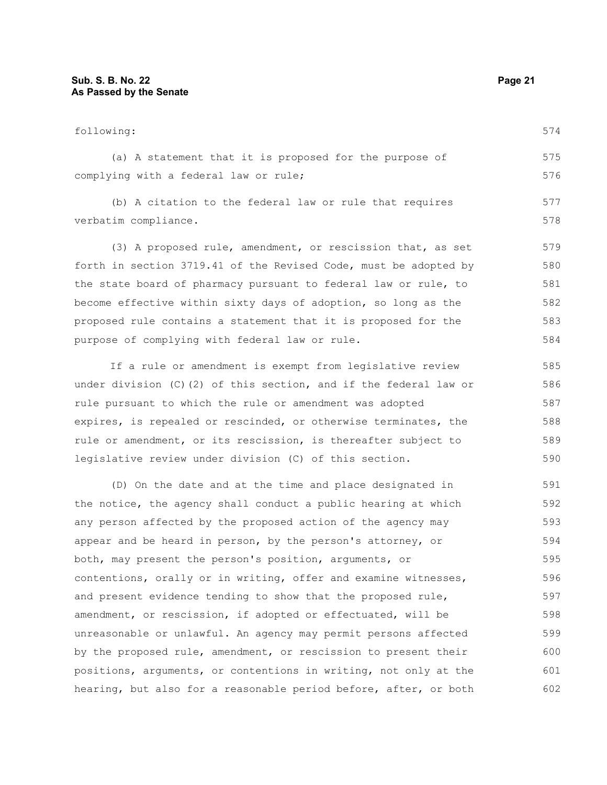| following:                                                            | 574 |
|-----------------------------------------------------------------------|-----|
| (a) A statement that it is proposed for the purpose of                | 575 |
| complying with a federal law or rule;                                 |     |
| (b) A citation to the federal law or rule that requires               | 577 |
| verbatim compliance.                                                  | 578 |
| (3) A proposed rule, amendment, or rescission that, as set            | 579 |
| forth in section 3719.41 of the Revised Code, must be adopted by      | 580 |
| the state board of pharmacy pursuant to federal law or rule, to       | 581 |
| become effective within sixty days of adoption, so long as the        | 582 |
| proposed rule contains a statement that it is proposed for the        | 583 |
| purpose of complying with federal law or rule.                        |     |
| If a rule or amendment is exempt from legislative review              | 585 |
| under division $(C)$ $(2)$ of this section, and if the federal law or | 586 |
| rule pursuant to which the rule or amendment was adopted              | 587 |
| expires, is repealed or rescinded, or otherwise terminates, the       | 588 |
| rule or amendment, or its rescission, is thereafter subject to        | 589 |

(D) On the date and at the time and place designated in the notice, the agency shall conduct a public hearing at which any person affected by the proposed action of the agency may appear and be heard in person, by the person's attorney, or both, may present the person's position, arguments, or contentions, orally or in writing, offer and examine witnesses, and present evidence tending to show that the proposed rule, amendment, or rescission, if adopted or effectuated, will be unreasonable or unlawful. An agency may permit persons affected by the proposed rule, amendment, or rescission to present their positions, arguments, or contentions in writing, not only at the hearing, but also for a reasonable period before, after, or both 591 592 593 594 595 596 597 598 599 600 601 602

legislative review under division (C) of this section.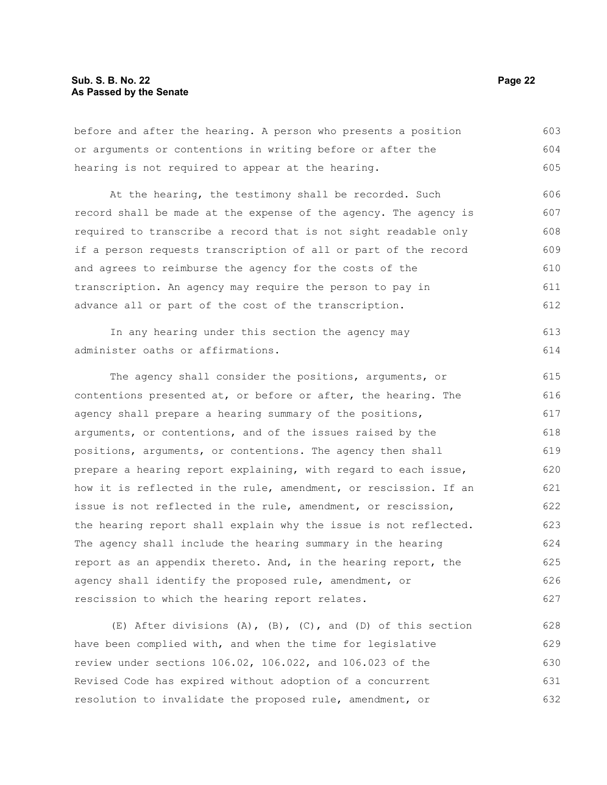#### **Sub. S. B. No. 22 Page 22 As Passed by the Senate**

before and after the hearing. A person who presents a position or arguments or contentions in writing before or after the hearing is not required to appear at the hearing. 603 604 605

At the hearing, the testimony shall be recorded. Such record shall be made at the expense of the agency. The agency is required to transcribe a record that is not sight readable only if a person requests transcription of all or part of the record and agrees to reimburse the agency for the costs of the transcription. An agency may require the person to pay in advance all or part of the cost of the transcription. 606 607 608 609 610 611 612

In any hearing under this section the agency may administer oaths or affirmations. 613 614

The agency shall consider the positions, arguments, or contentions presented at, or before or after, the hearing. The agency shall prepare a hearing summary of the positions, arguments, or contentions, and of the issues raised by the positions, arguments, or contentions. The agency then shall prepare a hearing report explaining, with regard to each issue, how it is reflected in the rule, amendment, or rescission. If an issue is not reflected in the rule, amendment, or rescission, the hearing report shall explain why the issue is not reflected. The agency shall include the hearing summary in the hearing report as an appendix thereto. And, in the hearing report, the agency shall identify the proposed rule, amendment, or rescission to which the hearing report relates. 615 616 617 618 619 620 621 622 623 624 625 626 627

(E) After divisions  $(A)$ ,  $(B)$ ,  $(C)$ , and  $(D)$  of this section have been complied with, and when the time for legislative review under sections 106.02, 106.022, and 106.023 of the Revised Code has expired without adoption of a concurrent resolution to invalidate the proposed rule, amendment, or 628 629 630 631 632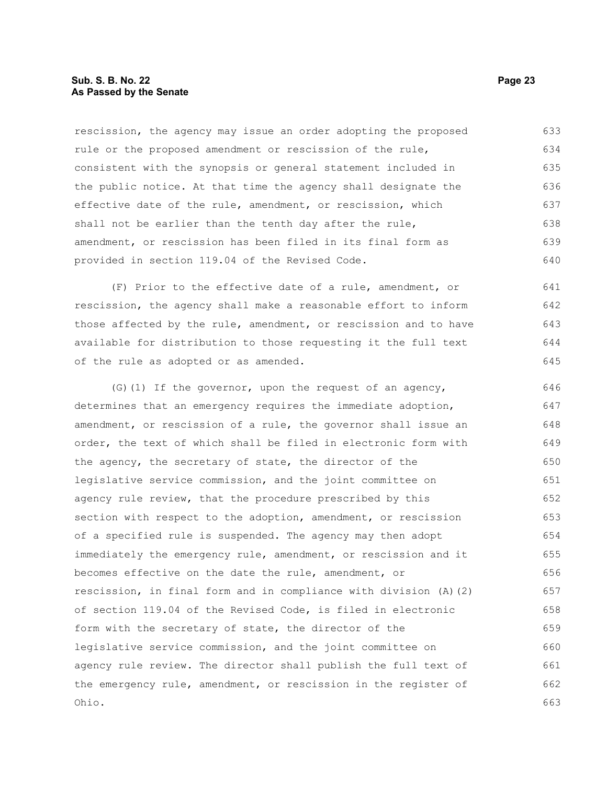#### **Sub. S. B. No. 22 Page 23 As Passed by the Senate**

rescission, the agency may issue an order adopting the proposed rule or the proposed amendment or rescission of the rule, consistent with the synopsis or general statement included in the public notice. At that time the agency shall designate the effective date of the rule, amendment, or rescission, which shall not be earlier than the tenth day after the rule, amendment, or rescission has been filed in its final form as provided in section 119.04 of the Revised Code. 633 634 635 636 637 638 639 640

(F) Prior to the effective date of a rule, amendment, or rescission, the agency shall make a reasonable effort to inform those affected by the rule, amendment, or rescission and to have available for distribution to those requesting it the full text of the rule as adopted or as amended.

(G)(1) If the governor, upon the request of an agency, determines that an emergency requires the immediate adoption, amendment, or rescission of a rule, the governor shall issue an order, the text of which shall be filed in electronic form with the agency, the secretary of state, the director of the legislative service commission, and the joint committee on agency rule review, that the procedure prescribed by this section with respect to the adoption, amendment, or rescission of a specified rule is suspended. The agency may then adopt immediately the emergency rule, amendment, or rescission and it becomes effective on the date the rule, amendment, or rescission, in final form and in compliance with division (A)(2) of section 119.04 of the Revised Code, is filed in electronic form with the secretary of state, the director of the legislative service commission, and the joint committee on agency rule review. The director shall publish the full text of the emergency rule, amendment, or rescission in the register of Ohio. 646 647 648 649 650 651 652 653 654 655 656 657 658 659 660 661 662 663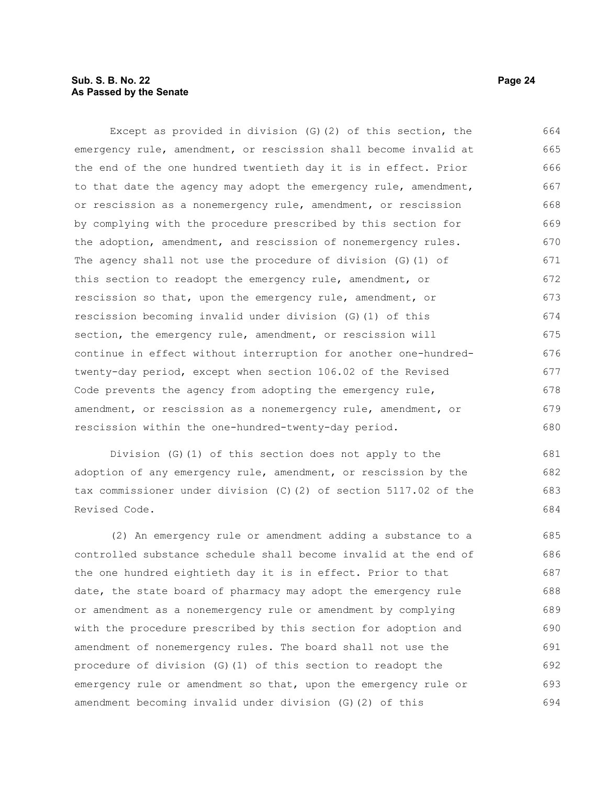#### **Sub. S. B. No. 22 Page 24 As Passed by the Senate**

Except as provided in division (G)(2) of this section, the emergency rule, amendment, or rescission shall become invalid at the end of the one hundred twentieth day it is in effect. Prior to that date the agency may adopt the emergency rule, amendment, or rescission as a nonemergency rule, amendment, or rescission by complying with the procedure prescribed by this section for the adoption, amendment, and rescission of nonemergency rules. The agency shall not use the procedure of division (G)(1) of this section to readopt the emergency rule, amendment, or rescission so that, upon the emergency rule, amendment, or rescission becoming invalid under division (G)(1) of this section, the emergency rule, amendment, or rescission will continue in effect without interruption for another one-hundredtwenty-day period, except when section 106.02 of the Revised Code prevents the agency from adopting the emergency rule, amendment, or rescission as a nonemergency rule, amendment, or rescission within the one-hundred-twenty-day period. 664 665 666 667 668 669 670 671 672 673 674 675 676 677 678 679 680

Division (G)(1) of this section does not apply to the adoption of any emergency rule, amendment, or rescission by the tax commissioner under division (C)(2) of section 5117.02 of the Revised Code. 681 682 683 684

(2) An emergency rule or amendment adding a substance to a controlled substance schedule shall become invalid at the end of the one hundred eightieth day it is in effect. Prior to that date, the state board of pharmacy may adopt the emergency rule or amendment as a nonemergency rule or amendment by complying with the procedure prescribed by this section for adoption and amendment of nonemergency rules. The board shall not use the procedure of division (G)(1) of this section to readopt the emergency rule or amendment so that, upon the emergency rule or amendment becoming invalid under division (G)(2) of this 685 686 687 688 689 690 691 692 693 694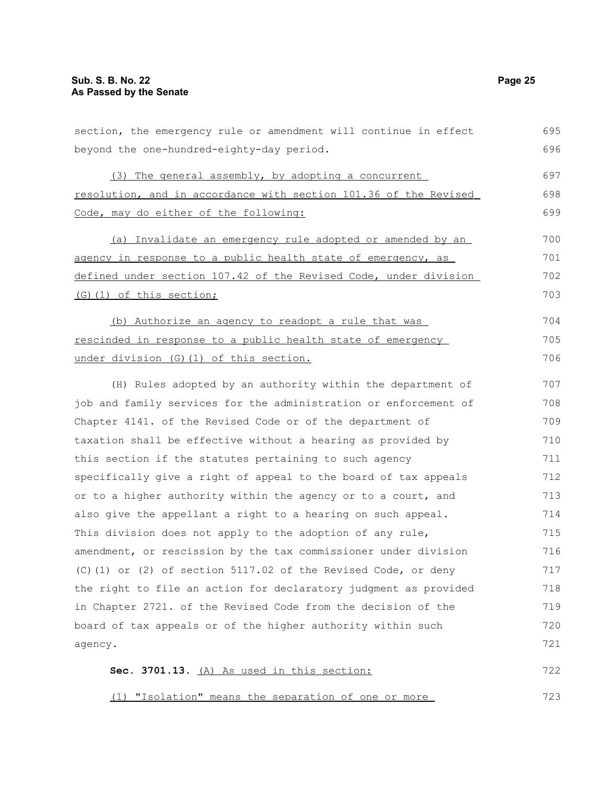| section, the emergency rule or amendment will continue in effect | 695 |
|------------------------------------------------------------------|-----|
| beyond the one-hundred-eighty-day period.                        | 696 |
| (3) The general assembly, by adopting a concurrent               | 697 |
| resolution, and in accordance with section 101.36 of the Revised | 698 |
| Code, may do either of the following:                            | 699 |
| (a) Invalidate an emergency rule adopted or amended by an        | 700 |
| agency in response to a public health state of emergency, as     | 701 |
| defined under section 107.42 of the Revised Code, under division | 702 |
| (G) (1) of this section;                                         | 703 |
| (b) Authorize an agency to readopt a rule that was               | 704 |
| rescinded in response to a public health state of emergency      | 705 |
| under division (G) (1) of this section.                          | 706 |
| (H) Rules adopted by an authority within the department of       | 707 |
| job and family services for the administration or enforcement of | 708 |
| Chapter 4141. of the Revised Code or of the department of        | 709 |
| taxation shall be effective without a hearing as provided by     | 710 |
| this section if the statutes pertaining to such agency           | 711 |
| specifically give a right of appeal to the board of tax appeals  | 712 |
| or to a higher authority within the agency or to a court, and    | 713 |
| also give the appellant a right to a hearing on such appeal.     | 714 |
| This division does not apply to the adoption of any rule,        | 715 |
| amendment, or rescission by the tax commissioner under division  | 716 |
| (C)(1) or (2) of section 5117.02 of the Revised Code, or deny    | 717 |
| the right to file an action for declaratory judgment as provided | 718 |
| in Chapter 2721. of the Revised Code from the decision of the    | 719 |
| board of tax appeals or of the higher authority within such      | 720 |
| agency.                                                          | 721 |
| Sec. 3701.13. (A) As used in this section:                       | 722 |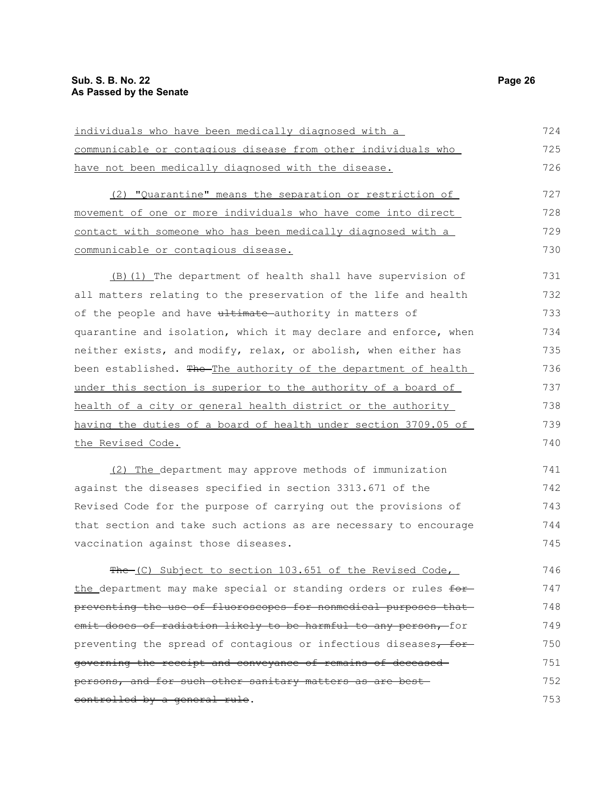| individuals who have been medically diagnosed with a             | 724 |
|------------------------------------------------------------------|-----|
| communicable or contagious disease from other individuals who    | 725 |
| have not been medically diagnosed with the disease.              | 726 |
| (2) "Quarantine" means the separation or restriction of          | 727 |
| movement of one or more individuals who have come into direct    | 728 |
| contact with someone who has been medically diagnosed with a     | 729 |
| communicable or contagious disease.                              | 730 |
| (B) (1) The department of health shall have supervision of       | 731 |
| all matters relating to the preservation of the life and health  | 732 |
| of the people and have ultimate authority in matters of          | 733 |
| quarantine and isolation, which it may declare and enforce, when | 734 |
| neither exists, and modify, relax, or abolish, when either has   | 735 |
| been established. The The authority of the department of health  | 736 |
| under this section is superior to the authority of a board of    | 737 |
| health of a city or general health district or the authority     | 738 |
| having the duties of a board of health under section 3709.05 of  | 739 |
| <u>the Revised Code.</u>                                         | 740 |
| (2) The department may approve methods of immunization           | 741 |
| against the diseases specified in section 3313.671 of the        | 742 |
| Revised Code for the purpose of carrying out the provisions of   | 743 |
| that section and take such actions as are necessary to encourage | 744 |
| vaccination against those diseases.                              | 745 |
| The (C) Subject to section 103.651 of the Revised Code,          | 746 |
| the department may make special or standing orders or rules for- | 747 |
| preventing the use of fluoroscopes for nonmedical purposes that  | 748 |
| emit doses of radiation likely to be harmful to any person, for  | 749 |
| preventing the spread of contagious or infectious diseases, for- | 750 |
| governing the receipt and conveyance of remains of deceased      | 751 |
| persons, and for such other sanitary matters as are best-        | 752 |
| controlled by a general rule.                                    | 753 |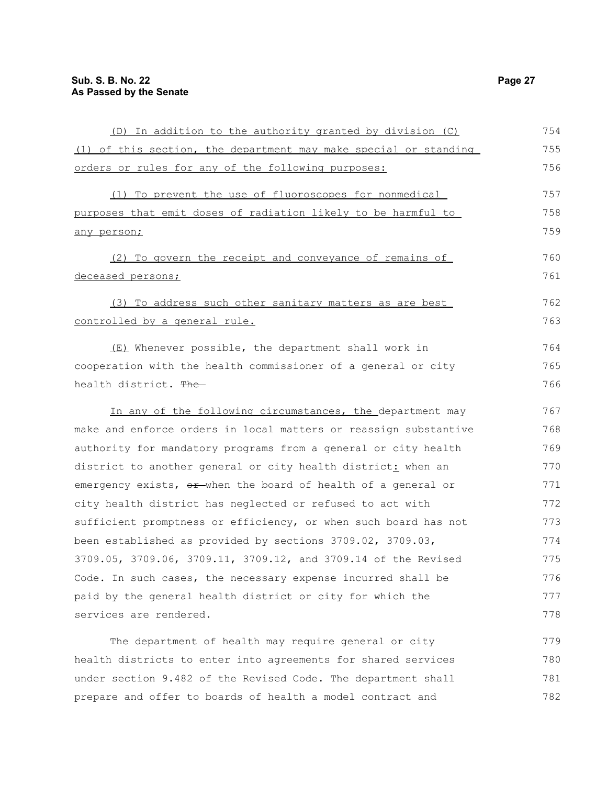| (D) In addition to the authority granted by division (C)         | 754 |
|------------------------------------------------------------------|-----|
| (1) of this section, the department may make special or standing | 755 |
| orders or rules for any of the following purposes:               | 756 |
| (1) To prevent the use of fluoroscopes for nonmedical            | 757 |
| purposes that emit doses of radiation likely to be harmful to    | 758 |
| any person;                                                      | 759 |
| (2) To govern the receipt and conveyance of remains of           | 760 |
| deceased persons;                                                | 761 |
| (3) To address such other sanitary matters as are best           | 762 |
| controlled by a general rule.                                    | 763 |
| (E) Whenever possible, the department shall work in              | 764 |
| cooperation with the health commissioner of a general or city    | 765 |
| health district. The                                             | 766 |
| In any of the following circumstances, the department may        | 767 |
| make and enforce orders in local matters or reassign substantive | 768 |
| authority for mandatory programs from a general or city health   | 769 |
| district to another general or city health district: when an     | 770 |
| emergency exists, or when the board of health of a general or    | 771 |
| city health district has neglected or refused to act with        | 772 |
| sufficient promptness or efficiency, or when such board has not  | 773 |
| been established as provided by sections 3709.02, 3709.03,       | 774 |
| 3709.05, 3709.06, 3709.11, 3709.12, and 3709.14 of the Revised   | 775 |
| Code. In such cases, the necessary expense incurred shall be     | 776 |
| paid by the general health district or city for which the        | 777 |
| services are rendered.                                           | 778 |
| The department of health may require general or city             | 779 |
| health districts to enter into agreements for shared services    | 780 |
| under section 9.482 of the Revised Code. The department shall    | 781 |

prepare and offer to boards of health a model contract and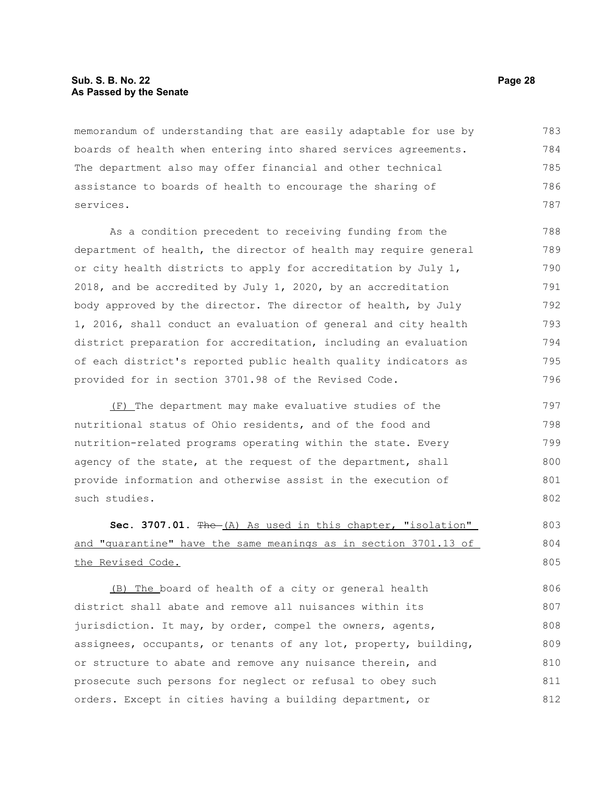#### **Sub. S. B. No. 22 Page 28 As Passed by the Senate**

memorandum of understanding that are easily adaptable for use by boards of health when entering into shared services agreements. The department also may offer financial and other technical assistance to boards of health to encourage the sharing of services. 783 784 785 786 787

As a condition precedent to receiving funding from the department of health, the director of health may require general or city health districts to apply for accreditation by July 1, 2018, and be accredited by July 1, 2020, by an accreditation body approved by the director. The director of health, by July 1, 2016, shall conduct an evaluation of general and city health district preparation for accreditation, including an evaluation of each district's reported public health quality indicators as provided for in section 3701.98 of the Revised Code. 788 789 790 791 792 793 794 795 796

(F) The department may make evaluative studies of the nutritional status of Ohio residents, and of the food and nutrition-related programs operating within the state. Every agency of the state, at the request of the department, shall provide information and otherwise assist in the execution of such studies. 797 798 799 800 801 802

#### **Sec. 3707.01.** The (A) As used in this chapter, "isolation" and "quarantine" have the same meanings as in section 3701.13 of the Revised Code. 803 804 805

(B) The board of health of a city or general health district shall abate and remove all nuisances within its jurisdiction. It may, by order, compel the owners, agents, assignees, occupants, or tenants of any lot, property, building, or structure to abate and remove any nuisance therein, and prosecute such persons for neglect or refusal to obey such orders. Except in cities having a building department, or 806 807 808 809 810 811 812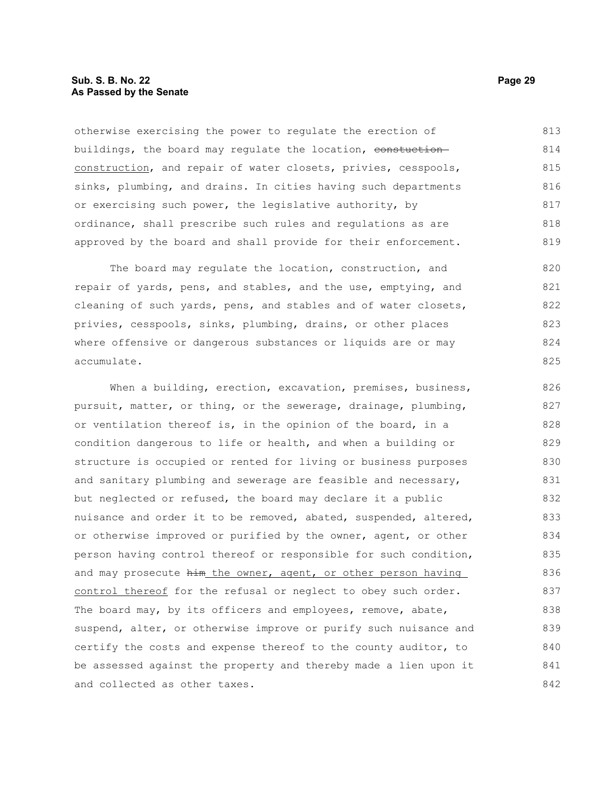#### **Sub. S. B. No. 22 Page 29 As Passed by the Senate**

otherwise exercising the power to regulate the erection of buildings, the board may regulate the location, constuctionconstruction, and repair of water closets, privies, cesspools, sinks, plumbing, and drains. In cities having such departments or exercising such power, the legislative authority, by ordinance, shall prescribe such rules and regulations as are approved by the board and shall provide for their enforcement. 813 814 815 816 817 818 819

The board may regulate the location, construction, and repair of yards, pens, and stables, and the use, emptying, and cleaning of such yards, pens, and stables and of water closets, privies, cesspools, sinks, plumbing, drains, or other places where offensive or dangerous substances or liquids are or may accumulate. 820 821 822 823 824 825

When a building, erection, excavation, premises, business, pursuit, matter, or thing, or the sewerage, drainage, plumbing, or ventilation thereof is, in the opinion of the board, in a condition dangerous to life or health, and when a building or structure is occupied or rented for living or business purposes and sanitary plumbing and sewerage are feasible and necessary, but neglected or refused, the board may declare it a public nuisance and order it to be removed, abated, suspended, altered, or otherwise improved or purified by the owner, agent, or other person having control thereof or responsible for such condition, and may prosecute him the owner, agent, or other person having control thereof for the refusal or neglect to obey such order. The board may, by its officers and employees, remove, abate, suspend, alter, or otherwise improve or purify such nuisance and certify the costs and expense thereof to the county auditor, to be assessed against the property and thereby made a lien upon it and collected as other taxes. 826 827 828 829 830 831 832 833 834 835 836 837 838 839 840 841 842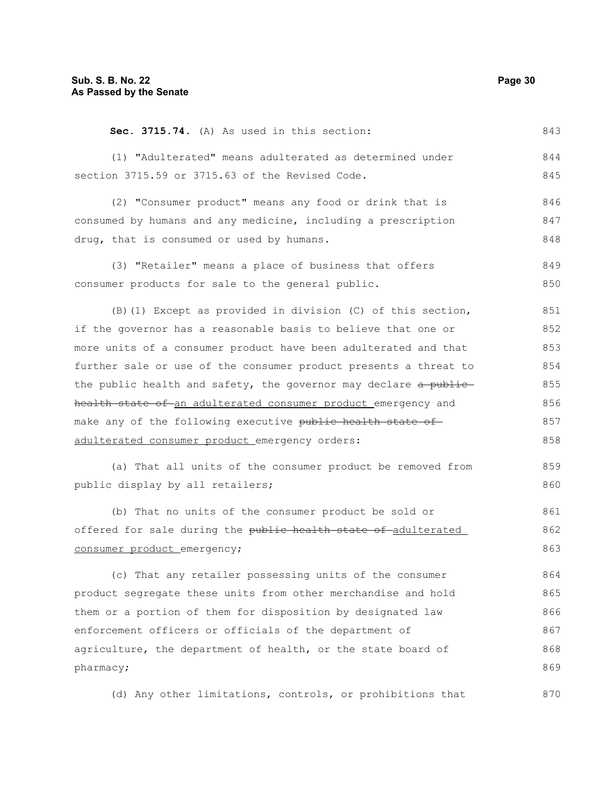| Sec. 3715.74. (A) As used in this section:                       | 843 |
|------------------------------------------------------------------|-----|
| (1) "Adulterated" means adulterated as determined under          | 844 |
| section 3715.59 or 3715.63 of the Revised Code.                  | 845 |
| (2) "Consumer product" means any food or drink that is           | 846 |
| consumed by humans and any medicine, including a prescription    | 847 |
| drug, that is consumed or used by humans.                        | 848 |
| (3) "Retailer" means a place of business that offers             | 849 |
| consumer products for sale to the general public.                | 850 |
| (B) (1) Except as provided in division (C) of this section,      | 851 |
| if the governor has a reasonable basis to believe that one or    | 852 |
| more units of a consumer product have been adulterated and that  | 853 |
| further sale or use of the consumer product presents a threat to | 854 |
| the public health and safety, the governor may declare a public  | 855 |
| health state of an adulterated consumer product emergency and    | 856 |
| make any of the following executive public health state of       | 857 |
| adulterated consumer product emergency orders:                   | 858 |
| (a) That all units of the consumer product be removed from       | 859 |
| public display by all retailers;                                 | 860 |
| (b) That no units of the consumer product be sold or             | 861 |
| offered for sale during the public health state of adulterated   | 862 |
| consumer product emergency;                                      | 863 |
| (c) That any retailer possessing units of the consumer           | 864 |
| product segregate these units from other merchandise and hold    | 865 |
| them or a portion of them for disposition by designated law      | 866 |
| enforcement officers or officials of the department of           | 867 |
| agriculture, the department of health, or the state board of     | 868 |
| pharmacy;                                                        | 869 |
| (d) Any other limitations, controls, or prohibitions that        | 870 |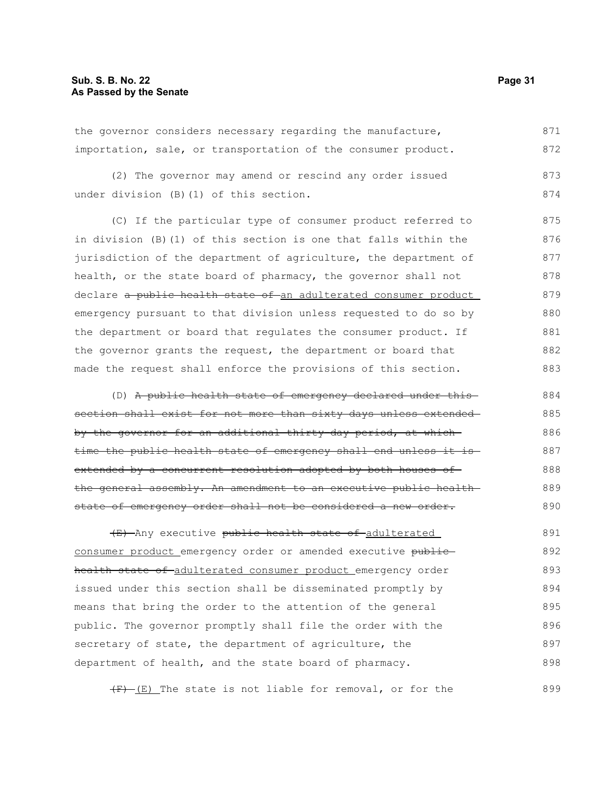the governor considers necessary regarding the manufacture, importation, sale, or transportation of the consumer product. 871 872

(2) The governor may amend or rescind any order issued under division (B)(1) of this section. 873 874

(C) If the particular type of consumer product referred to in division (B)(1) of this section is one that falls within the jurisdiction of the department of agriculture, the department of health, or the state board of pharmacy, the governor shall not declare a public health state of an adulterated consumer product emergency pursuant to that division unless requested to do so by the department or board that regulates the consumer product. If the governor grants the request, the department or board that made the request shall enforce the provisions of this section. 875 876 877 878 879 880 881 882 883

(D) A public health state of emergency declared under this section shall exist for not more than sixty days unless extendedby the governor for an additional thirty-day period, at whichtime the public health state of emergency shall end unless it is extended by a concurrent resolution adopted by both houses of the general assembly. An amendment to an executive public health state of emergency order shall not be considered a new order. 884 885 886 887 888 889 890

(E) Any executive public health state of adulterated consumer product emergency order or amended executive publichealth state of adulterated consumer product emergency order issued under this section shall be disseminated promptly by means that bring the order to the attention of the general public. The governor promptly shall file the order with the secretary of state, the department of agriculture, the department of health, and the state board of pharmacy. 891 892 893 894 895 896 897 898

 $(F)$  (E) The state is not liable for removal, or for the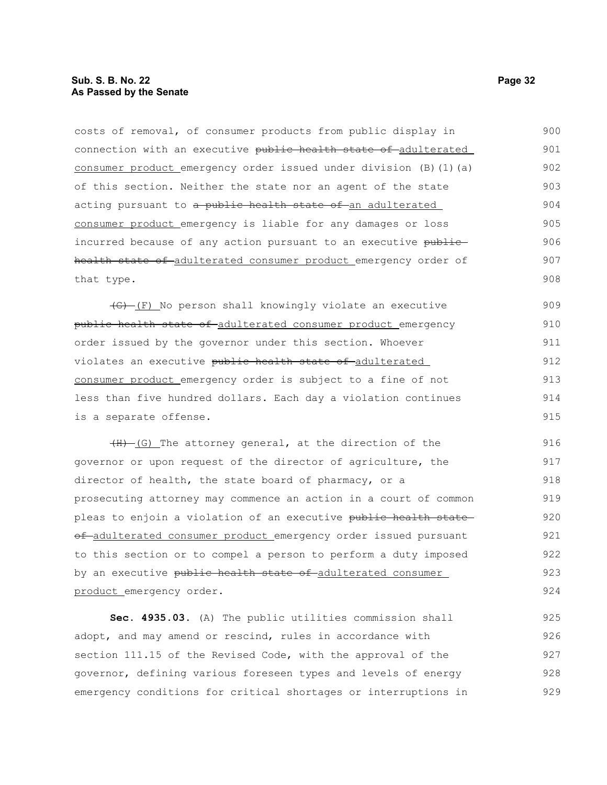#### **Sub. S. B. No. 22 Page 32 As Passed by the Senate**

costs of removal, of consumer products from public display in connection with an executive public health state of adulterated consumer product emergency order issued under division (B)(1)(a) of this section. Neither the state nor an agent of the state acting pursuant to a public health state of an adulterated consumer product emergency is liable for any damages or loss incurred because of any action pursuant to an executive publichealth state of adulterated consumer product emergency order of that type. 900 901 902 903 904 905 906 907 908

 $\overline{(G) - (F)}$  No person shall knowingly violate an executive public health state of adulterated consumer product emergency order issued by the governor under this section. Whoever violates an executive public health state of adulterated consumer product emergency order is subject to a fine of not less than five hundred dollars. Each day a violation continues is a separate offense. 909 910 911 912 913 914 915

 $(H)$  (G) The attorney general, at the direction of the governor or upon request of the director of agriculture, the director of health, the state board of pharmacy, or a prosecuting attorney may commence an action in a court of common pleas to enjoin a violation of an executive public health state of-adulterated consumer product emergency order issued pursuant to this section or to compel a person to perform a duty imposed by an executive public health state of adulterated consumer product emergency order. 916 917 918 919 920 921 922 923 924

**Sec. 4935.03.** (A) The public utilities commission shall adopt, and may amend or rescind, rules in accordance with section 111.15 of the Revised Code, with the approval of the governor, defining various foreseen types and levels of energy emergency conditions for critical shortages or interruptions in 925 926 927 928 929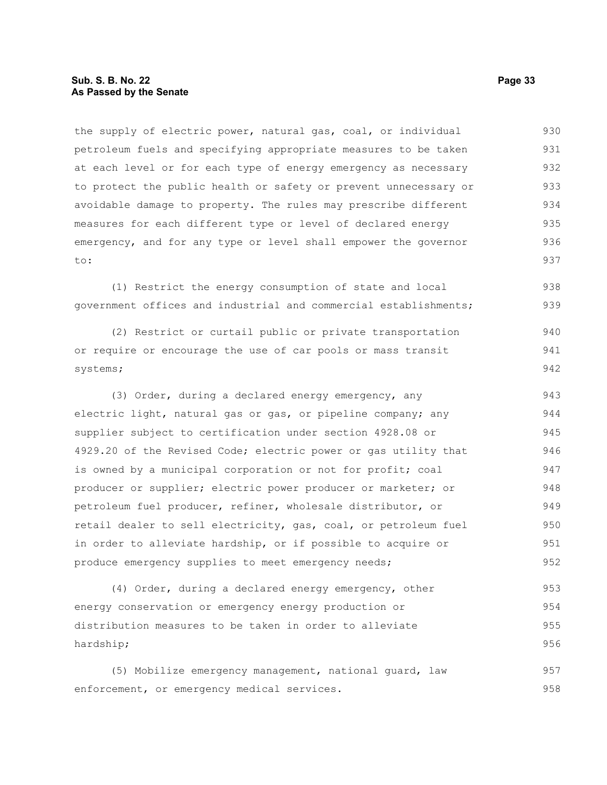the supply of electric power, natural gas, coal, or individual petroleum fuels and specifying appropriate measures to be taken at each level or for each type of energy emergency as necessary to protect the public health or safety or prevent unnecessary or avoidable damage to property. The rules may prescribe different measures for each different type or level of declared energy emergency, and for any type or level shall empower the governor to: 930 931 932 933 934 935 936 937

(1) Restrict the energy consumption of state and local government offices and industrial and commercial establishments; 938 939

(2) Restrict or curtail public or private transportation or require or encourage the use of car pools or mass transit systems; 940 941 942

(3) Order, during a declared energy emergency, any electric light, natural gas or gas, or pipeline company; any supplier subject to certification under section 4928.08 or 4929.20 of the Revised Code; electric power or gas utility that is owned by a municipal corporation or not for profit; coal producer or supplier; electric power producer or marketer; or petroleum fuel producer, refiner, wholesale distributor, or retail dealer to sell electricity, gas, coal, or petroleum fuel in order to alleviate hardship, or if possible to acquire or produce emergency supplies to meet emergency needs; 943 944 945 946 947 948 949 950 951 952

(4) Order, during a declared energy emergency, other energy conservation or emergency energy production or distribution measures to be taken in order to alleviate hardship; 953 954 955 956

(5) Mobilize emergency management, national guard, law enforcement, or emergency medical services. 957 958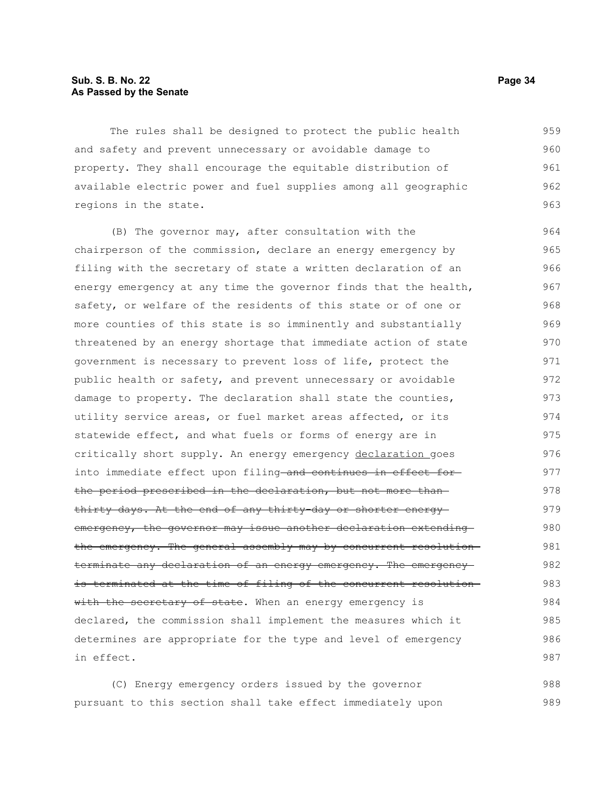#### **Sub. S. B. No. 22 Page 34 As Passed by the Senate**

The rules shall be designed to protect the public health and safety and prevent unnecessary or avoidable damage to property. They shall encourage the equitable distribution of available electric power and fuel supplies among all geographic regions in the state. 959 960 961 962 963

(B) The governor may, after consultation with the chairperson of the commission, declare an energy emergency by filing with the secretary of state a written declaration of an energy emergency at any time the governor finds that the health, safety, or welfare of the residents of this state or of one or more counties of this state is so imminently and substantially threatened by an energy shortage that immediate action of state government is necessary to prevent loss of life, protect the public health or safety, and prevent unnecessary or avoidable damage to property. The declaration shall state the counties, utility service areas, or fuel market areas affected, or its statewide effect, and what fuels or forms of energy are in critically short supply. An energy emergency declaration goes into immediate effect upon filing and continues in effect for the period prescribed in the declaration, but not more than thirty days. At the end of any thirty-day or shorter energy emergency, the governor may issue another declaration extending the emergency. The general assembly may by concurrent resolution terminate any declaration of an energy emergency. The emergencyis terminated at the time of filing of the concurrent resolution with the secretary of state. When an energy emergency is declared, the commission shall implement the measures which it determines are appropriate for the type and level of emergency in effect. 964 965 966 967 968 969 970 971 972 973 974 975 976 977 978 979 980 981 982 983 984 985 986 987

(C) Energy emergency orders issued by the governor pursuant to this section shall take effect immediately upon 988 989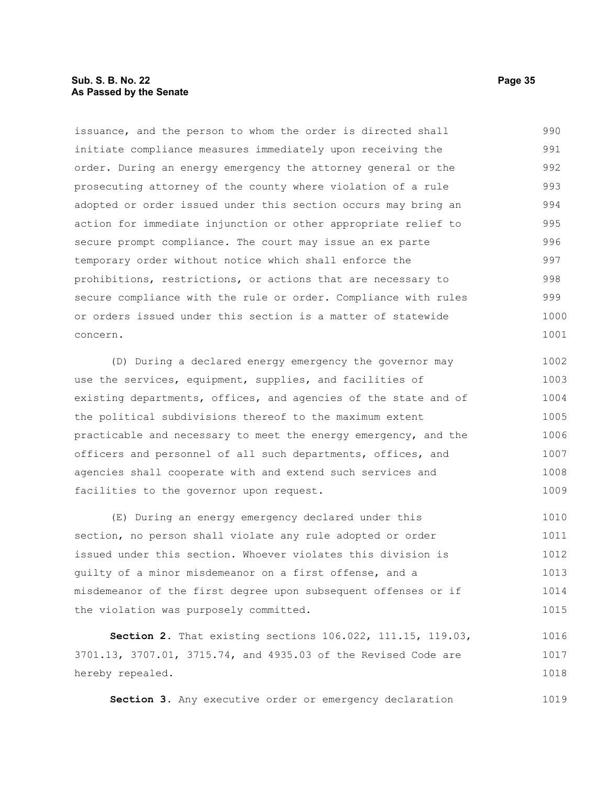#### **Sub. S. B. No. 22 Page 35 As Passed by the Senate**

issuance, and the person to whom the order is directed shall initiate compliance measures immediately upon receiving the order. During an energy emergency the attorney general or the prosecuting attorney of the county where violation of a rule adopted or order issued under this section occurs may bring an action for immediate injunction or other appropriate relief to secure prompt compliance. The court may issue an ex parte temporary order without notice which shall enforce the prohibitions, restrictions, or actions that are necessary to secure compliance with the rule or order. Compliance with rules or orders issued under this section is a matter of statewide concern. 990 991 992 993 994 995 996 997 998 999 1000 1001

(D) During a declared energy emergency the governor may use the services, equipment, supplies, and facilities of existing departments, offices, and agencies of the state and of the political subdivisions thereof to the maximum extent practicable and necessary to meet the energy emergency, and the officers and personnel of all such departments, offices, and agencies shall cooperate with and extend such services and facilities to the governor upon request. 1002 1003 1004 1005 1006 1007 1008 1009

(E) During an energy emergency declared under this section, no person shall violate any rule adopted or order issued under this section. Whoever violates this division is guilty of a minor misdemeanor on a first offense, and a misdemeanor of the first degree upon subsequent offenses or if the violation was purposely committed. 1010 1011 1012 1013 1014 1015

**Section 2.** That existing sections 106.022, 111.15, 119.03, 3701.13, 3707.01, 3715.74, and 4935.03 of the Revised Code are hereby repealed. 1016 1017 1018

Section 3. Any executive order or emergency declaration 1019